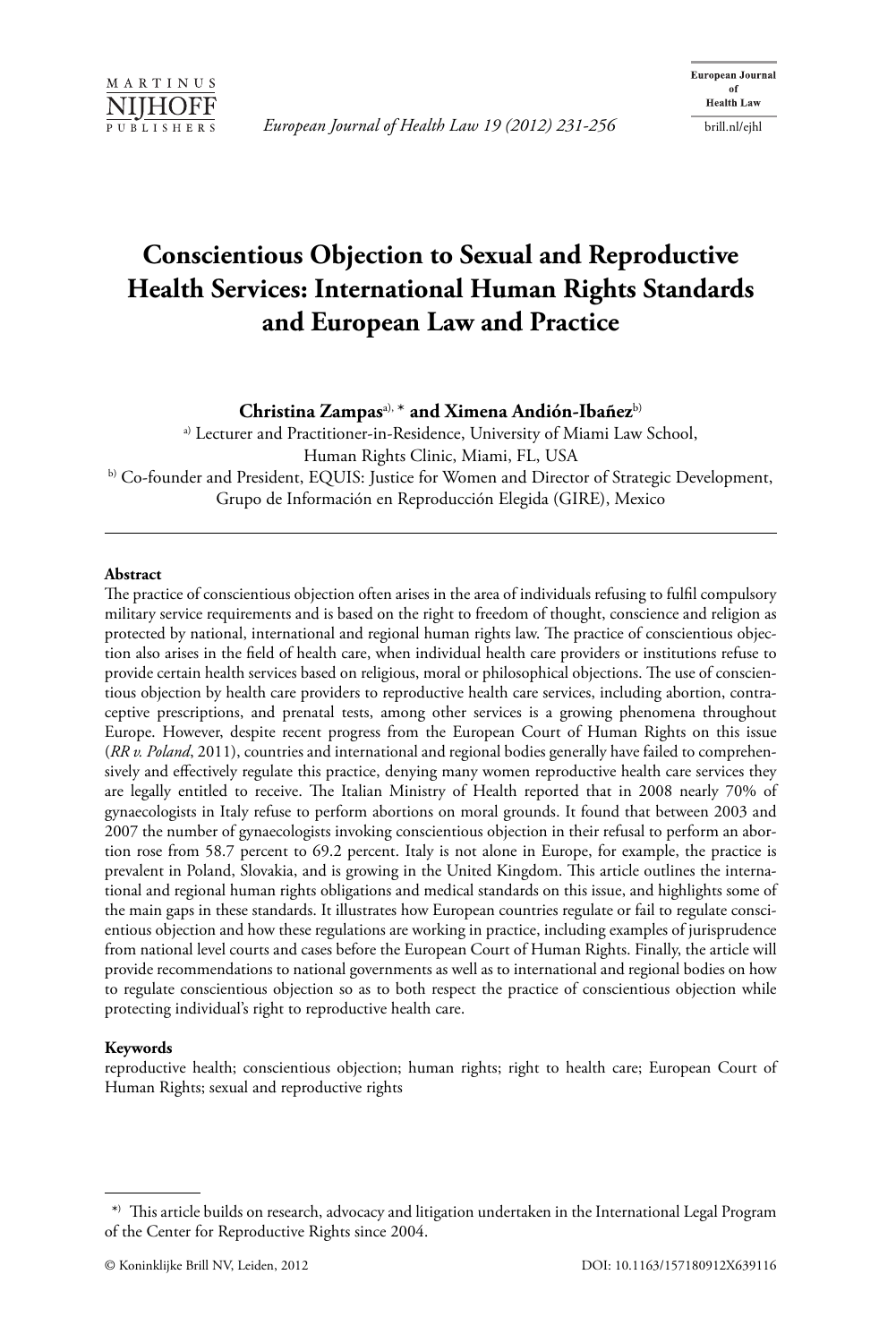

*European Journal of Health Law 19 (2012) 231-256* brill.nl/ejhl

# **Conscientious Objection to Sexual and Reproductive Health Services: International Human Rights Standards and European Law and Practice**

**Christina Zampas**a), \* **and Ximena Andión-Ibañez**b)

a) Lecturer and Practitioner-in-Residence, University of Miami Law School, Human Rights Clinic, Miami, FL, USA b) Co-founder and President, EQUIS: Justice for Women and Director of Strategic Development, Grupo de Información en Reproducción Elegida (GIRE), Mexico

#### **Abstract**

The practice of conscientious objection often arises in the area of individuals refusing to fulfil compulsory military service requirements and is based on the right to freedom of thought, conscience and religion as protected by national, international and regional human rights law. The practice of conscientious objection also arises in the field of health care, when individual health care providers or institutions refuse to provide certain health services based on religious, moral or philosophical objections. The use of conscientious objection by health care providers to reproductive health care services, including abortion, contraceptive prescriptions, and prenatal tests, among other services is a growing phenomena throughout Europe. However, despite recent progress from the European Court of Human Rights on this issue (*RR v. Poland*, 2011), countries and international and regional bodies generally have failed to comprehensively and effectively regulate this practice, denying many women reproductive health care services they are legally entitled to receive. The Italian Ministry of Health reported that in 2008 nearly 70% of gynaecologists in Italy refuse to perform abortions on moral grounds. It found that between 2003 and 2007 the number of gynaecologists invoking conscientious objection in their refusal to perform an abortion rose from 58.7 percent to 69.2 percent. Italy is not alone in Europe, for example, the practice is prevalent in Poland, Slovakia, and is growing in the United Kingdom. This article outlines the international and regional human rights obligations and medical standards on this issue, and highlights some of the main gaps in these standards. It illustrates how European countries regulate or fail to regulate conscientious objection and how these regulations are working in practice, including examples of jurisprudence from national level courts and cases before the European Court of Human Rights. Finally, the article will provide recommendations to national governments as well as to international and regional bodies on how to regulate conscientious objection so as to both respect the practice of conscientious objection while protecting individual's right to reproductive health care.

#### **Keywords**

reproductive health; conscientious objection; human rights; right to health care; European Court of Human Rights; sexual and reproductive rights

 <sup>\*)</sup> This article builds on research, advocacy and litigation undertaken in the International Legal Program of the Center for Reproductive Rights since 2004.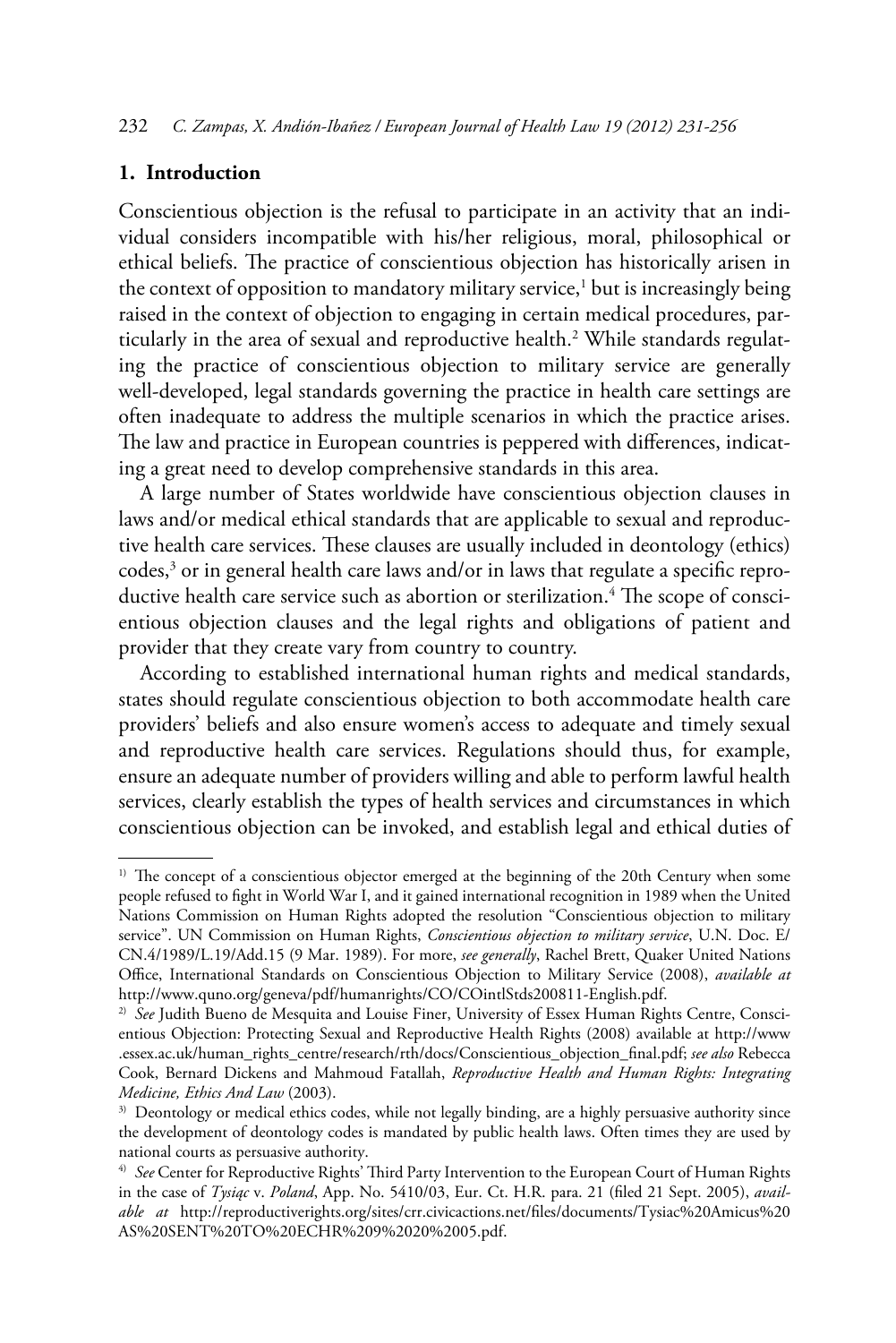### **1. Introduction**

Conscientious objection is the refusal to participate in an activity that an individual considers incompatible with his/her religious, moral, philosophical or ethical beliefs. The practice of conscientious objection has historically arisen in the context of opposition to mandatory military service,<sup>1</sup> but is increasingly being raised in the context of objection to engaging in certain medical procedures, particularly in the area of sexual and reproductive health.2 While standards regulating the practice of conscientious objection to military service are generally well-developed, legal standards governing the practice in health care settings are often inadequate to address the multiple scenarios in which the practice arises. The law and practice in European countries is peppered with differences, indicating a great need to develop comprehensive standards in this area.

A large number of States worldwide have conscientious objection clauses in laws and/or medical ethical standards that are applicable to sexual and reproductive health care services. These clauses are usually included in deontology (ethics) codes,<sup>3</sup> or in general health care laws and/or in laws that regulate a specific reproductive health care service such as abortion or sterilization.<sup>4</sup> The scope of conscientious objection clauses and the legal rights and obligations of patient and provider that they create vary from country to country.

According to established international human rights and medical standards, states should regulate conscientious objection to both accommodate health care providers' beliefs and also ensure women's access to adequate and timely sexual and reproductive health care services. Regulations should thus, for example, ensure an adequate number of providers willing and able to perform lawful health services, clearly establish the types of health services and circumstances in which conscientious objection can be invoked, and establish legal and ethical duties of

<sup>&</sup>lt;sup>1)</sup> The concept of a conscientious objector emerged at the beginning of the 20th Century when some people refused to fight in World War I, and it gained international recognition in 1989 when the United Nations Commission on Human Rights adopted the resolution "Conscientious objection to military service". UN Commission on Human Rights, *Conscientious objection to military service*, U.N. Doc. E/ CN.4/1989/L.19/Add.15 (9 Mar. 1989). For more, *see generally*, Rachel Brett, Quaker United Nations Office, International Standards on Conscientious Objection to Military Service (2008), *available at* http://www.quno.org/geneva/pdf/humanrights/CO/COintlStds200811-English.pdf.

<sup>2)</sup> *See* Judith Bueno de Mesquita and Louise Finer, University of Essex Human Rights Centre, Conscientious Objection: Protecting Sexual and Reproductive Health Rights (2008) available at http://www .essex.ac.uk/human\_rights\_centre/research/rth/docs/Conscientious\_objection\_final.pdf; *see also* Rebecca Cook, Bernard Dickens and Mahmoud Fatallah, *Reproductive Health and Human Rights: Integrating Medicine, Ethics And Law* (2003).

<sup>&</sup>lt;sup>3)</sup> Deontology or medical ethics codes, while not legally binding, are a highly persuasive authority since the development of deontology codes is mandated by public health laws. Often times they are used by national courts as persuasive authority.

<sup>4)</sup> *See* Center for Reproductive Rights' Third Party Intervention to the European Court of Human Rights in the case of *Tysiąc* v. *Poland*, App. No. 5410/03, Eur. Ct. H.R. para. 21 (filed 21 Sept. 2005), *available at* http://reproductiverights.org/sites/crr.civicactions.net/files/documents/Tysiac%20Amicus%20 AS%20SENT%20TO%20ECHR%209%2020%2005.pdf.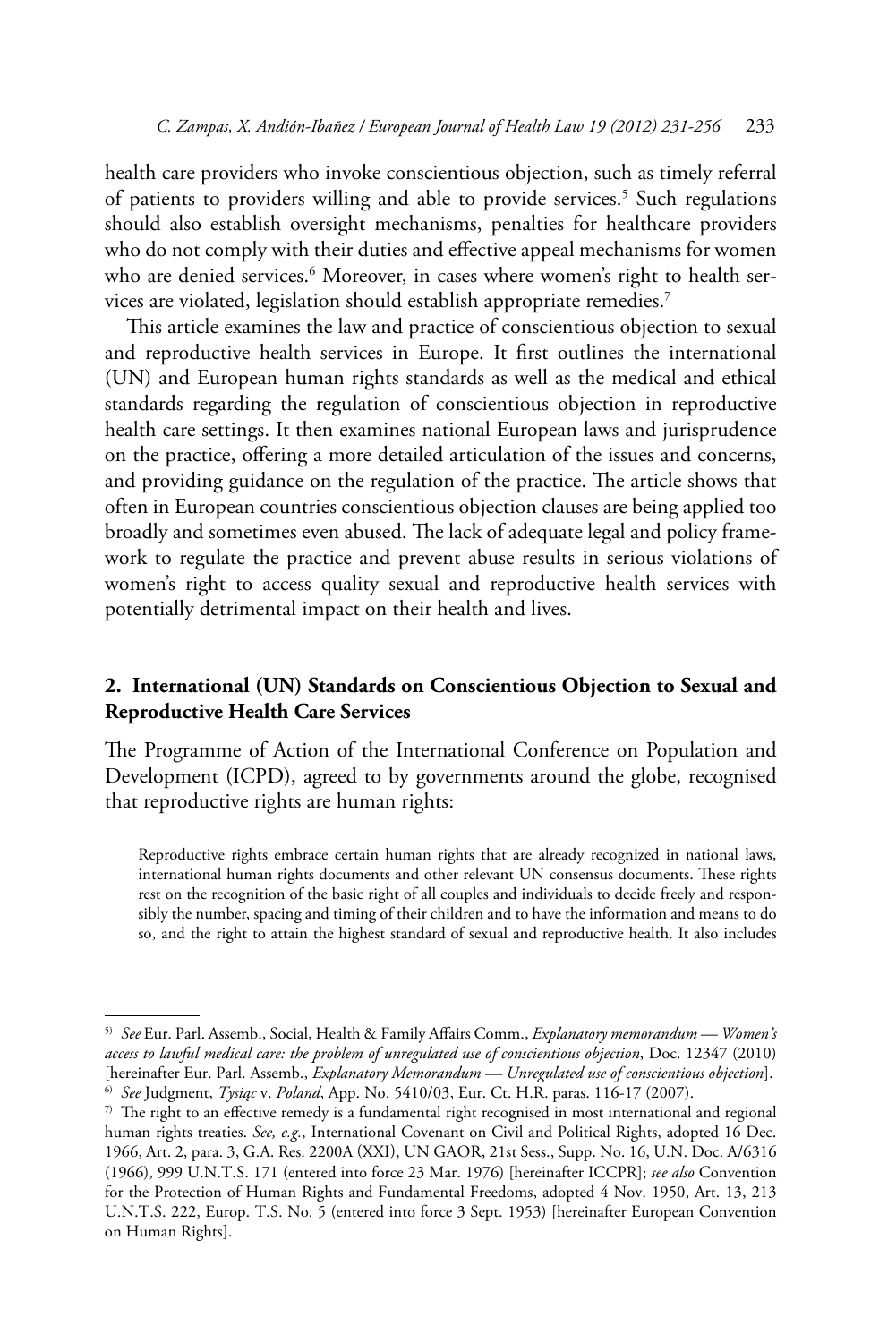health care providers who invoke conscientious objection, such as timely referral of patients to providers willing and able to provide services.<sup>5</sup> Such regulations should also establish oversight mechanisms, penalties for healthcare providers who do not comply with their duties and effective appeal mechanisms for women who are denied services.<sup>6</sup> Moreover, in cases where women's right to health services are violated, legislation should establish appropriate remedies.7

This article examines the law and practice of conscientious objection to sexual and reproductive health services in Europe. It first outlines the international (UN) and European human rights standards as well as the medical and ethical standards regarding the regulation of conscientious objection in reproductive health care settings. It then examines national European laws and jurisprudence on the practice, offering a more detailed articulation of the issues and concerns, and providing guidance on the regulation of the practice. The article shows that often in European countries conscientious objection clauses are being applied too broadly and sometimes even abused. The lack of adequate legal and policy framework to regulate the practice and prevent abuse results in serious violations of women's right to access quality sexual and reproductive health services with potentially detrimental impact on their health and lives.

# **2. International (UN) Standards on Conscientious Objection to Sexual and Reproductive Health Care Services**

The Programme of Action of the International Conference on Population and Development (ICPD), agreed to by governments around the globe, recognised that reproductive rights are human rights:

Reproductive rights embrace certain human rights that are already recognized in national laws, international human rights documents and other relevant UN consensus documents. These rights rest on the recognition of the basic right of all couples and individuals to decide freely and responsibly the number, spacing and timing of their children and to have the information and means to do so, and the right to attain the highest standard of sexual and reproductive health. It also includes

<sup>5)</sup> *See* Eur. Parl. Assemb., Social, Health & Family Affairs Comm., *Explanatory memorandum — Women's access to lawful medical care: the problem of unregulated use of conscientious objection*, Doc. 12347 (2010) [hereinafter Eur. Parl. Assemb., *Explanatory Memorandum — Unregulated use of conscientious objection*]. 6) *See* Judgment, *Tysiąc* v. *Poland*, App. No. 5410/03, Eur. Ct. H.R. paras. 116-17 (2007).

 $^{\gamma}$  The right to an effective remedy is a fundamental right recognised in most international and regional human rights treaties. *See, e.g.*, International Covenant on Civil and Political Rights, adopted 16 Dec. 1966, Art. 2, para. 3, G.A. Res. 2200A (XXI), UN GAOR, 21st Sess., Supp. No. 16, U.N. Doc. A/6316 (1966), 999 U.N.T.S. 171 (entered into force 23 Mar. 1976) [hereinafter ICCPR]; *see also* Convention for the Protection of Human Rights and Fundamental Freedoms, adopted 4 Nov. 1950, Art. 13, 213 U.N.T.S. 222, Europ. T.S. No. 5 (entered into force 3 Sept. 1953) [hereinafter European Convention on Human Rights].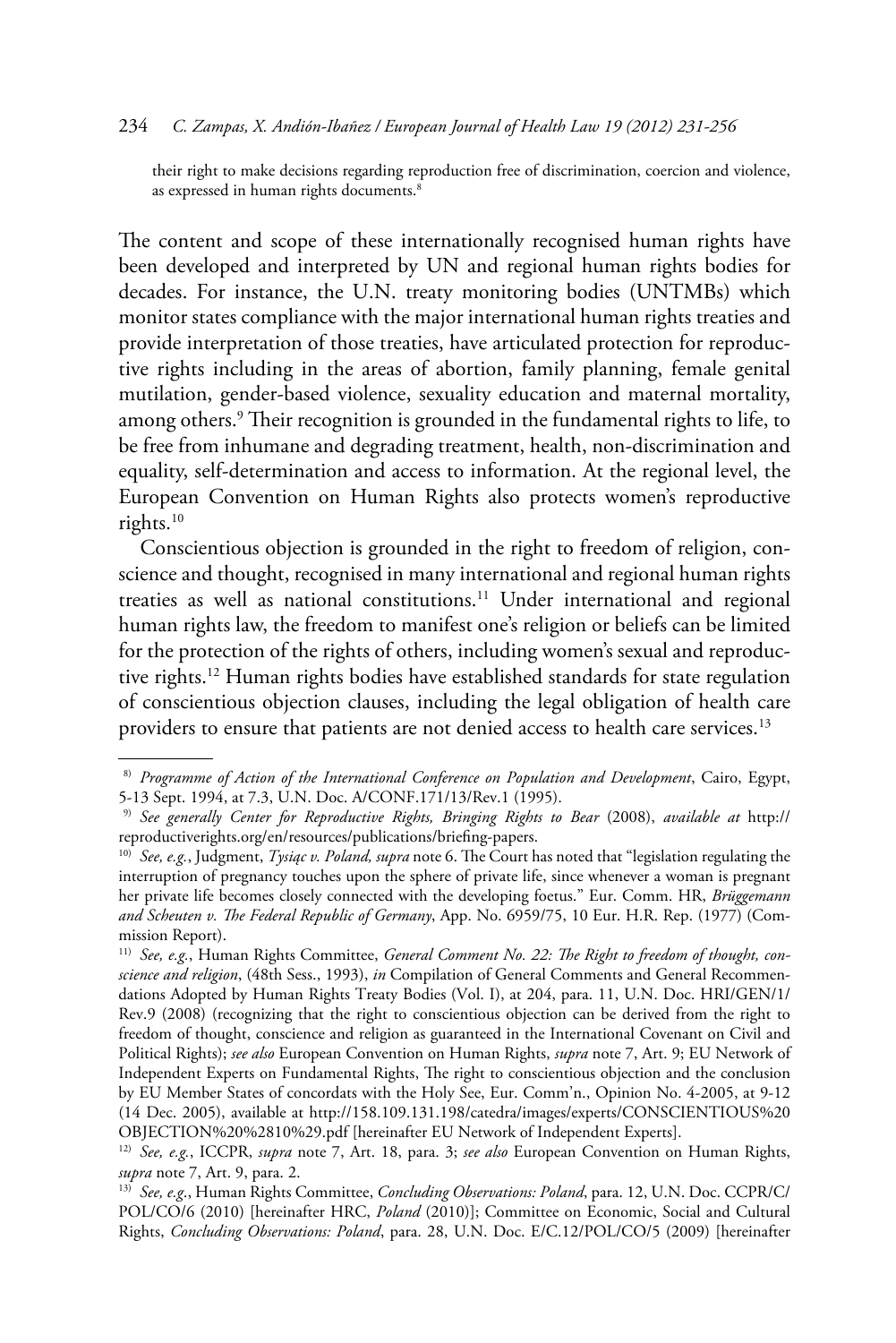#### 234 *C. Zampas, X. Andión-Ibañez / European Journal of Health Law 19 (2012) 231-256*

their right to make decisions regarding reproduction free of discrimination, coercion and violence, as expressed in human rights documents.<sup>8</sup>

The content and scope of these internationally recognised human rights have been developed and interpreted by UN and regional human rights bodies for decades. For instance, the U.N. treaty monitoring bodies (UNTMBs) which monitor states compliance with the major international human rights treaties and provide interpretation of those treaties, have articulated protection for reproductive rights including in the areas of abortion, family planning, female genital mutilation, gender-based violence, sexuality education and maternal mortality, among others.9 Their recognition is grounded in the fundamental rights to life, to be free from inhumane and degrading treatment, health, non-discrimination and equality, self-determination and access to information. At the regional level, the European Convention on Human Rights also protects women's reproductive rights.<sup>10</sup>

Conscientious objection is grounded in the right to freedom of religion, conscience and thought, recognised in many international and regional human rights treaties as well as national constitutions.11 Under international and regional human rights law, the freedom to manifest one's religion or beliefs can be limited for the protection of the rights of others, including women's sexual and reproductive rights.12 Human rights bodies have established standards for state regulation of conscientious objection clauses, including the legal obligation of health care providers to ensure that patients are not denied access to health care services.<sup>13</sup>

<sup>&</sup>lt;sup>8)</sup> Programme of Action of the International Conference on Population and Development, Cairo, Egypt, 5-13 Sept. 1994, at 7.3, U.N. Doc. A/CONF.171/13/Rev.1 (1995).

 <sup>9)</sup> *See generally Center for Reproductive Rights, Bringing Rights to Bear* (2008), *available at* http:// reproductiverights.org/en/resources/publications/briefing-papers.

<sup>10)</sup> *See, e.g.*, Judgment, *Tysiąc v. Poland, supra* note 6. The Court has noted that "legislation regulating the interruption of pregnancy touches upon the sphere of private life, since whenever a woman is pregnant her private life becomes closely connected with the developing foetus." Eur. Comm. HR, *Brüggemann and Scheuten v. The Federal Republic of Germany*, App. No. 6959/75, 10 Eur. H.R. Rep. (1977) (Commission Report).

<sup>11)</sup> *See, e.g.*, Human Rights Committee, *General Comment No. 22: The Right to freedom of thought, conscience and religion*, (48th Sess., 1993), *in* Compilation of General Comments and General Recommendations Adopted by Human Rights Treaty Bodies (Vol. I), at 204, para. 11, U.N. Doc. HRI/GEN/1/ Rev.9 (2008) (recognizing that the right to conscientious objection can be derived from the right to freedom of thought, conscience and religion as guaranteed in the International Covenant on Civil and Political Rights); *see also* European Convention on Human Rights, *supra* note 7, Art. 9; EU Network of Independent Experts on Fundamental Rights, The right to conscientious objection and the conclusion by EU Member States of concordats with the Holy See, Eur. Comm'n., Opinion No. 4-2005, at 9-12 (14 Dec. 2005), available at http://158.109.131.198/catedra/images/experts/CONSCIENTIOUS%20 OBJECTION%20%2810%29.pdf [hereinafter EU Network of Independent Experts].

<sup>12)</sup> *See, e.g.*, ICCPR, *supra* note 7, Art. 18, para. 3; *see also* European Convention on Human Rights, *supra* note 7, Art. 9, para. 2.

<sup>13)</sup> *See, e.g*., Human Rights Committee, *Concluding Observations: Poland*, para. 12, U.N. Doc. CCPR/C/ POL/CO/6 (2010) [hereinafter HRC, *Poland* (2010)]; Committee on Economic, Social and Cultural Rights, *Concluding Observations: Poland*, para. 28, U.N. Doc. E/C.12/POL/CO/5 (2009) [hereinafter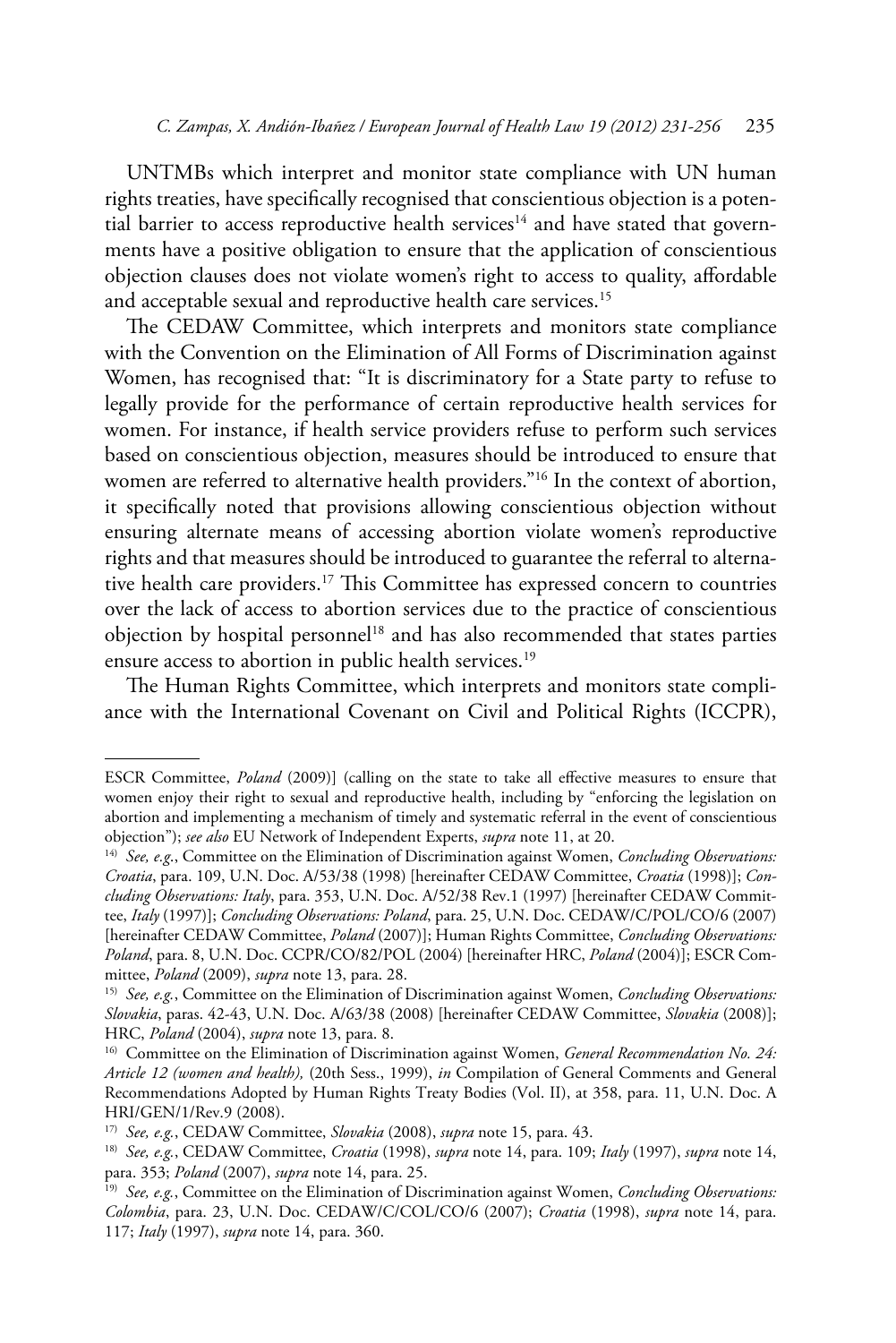UNTMBs which interpret and monitor state compliance with UN human rights treaties, have specifically recognised that conscientious objection is a potential barrier to access reproductive health services<sup>14</sup> and have stated that governments have a positive obligation to ensure that the application of conscientious objection clauses does not violate women's right to access to quality, affordable and acceptable sexual and reproductive health care services.<sup>15</sup>

The CEDAW Committee, which interprets and monitors state compliance with the Convention on the Elimination of All Forms of Discrimination against Women, has recognised that: "It is discriminatory for a State party to refuse to legally provide for the performance of certain reproductive health services for women. For instance, if health service providers refuse to perform such services based on conscientious objection, measures should be introduced to ensure that women are referred to alternative health providers."<sup>16</sup> In the context of abortion, it specifically noted that provisions allowing conscientious objection without ensuring alternate means of accessing abortion violate women's reproductive rights and that measures should be introduced to guarantee the referral to alternative health care providers.<sup>17</sup> This Committee has expressed concern to countries over the lack of access to abortion services due to the practice of conscientious objection by hospital personnel18 and has also recommended that states parties ensure access to abortion in public health services.<sup>19</sup>

The Human Rights Committee, which interprets and monitors state compliance with the International Covenant on Civil and Political Rights (ICCPR),

ESCR Committee, *Poland* (2009)] (calling on the state to take all effective measures to ensure that women enjoy their right to sexual and reproductive health, including by "enforcing the legislation on abortion and implementing a mechanism of timely and systematic referral in the event of conscientious

objection"); *see also* EU Network of Independent Experts, *supra* note 11, at 20. 14) *See, e.g*., Committee on the Elimination of Discrimination against Women, *Concluding Observations: Croatia*, para. 109, U.N. Doc. A/53/38 (1998) [hereinafter CEDAW Committee, *Croatia* (1998)]; *Concluding Observations: Italy*, para. 353, U.N. Doc. A/52/38 Rev.1 (1997) [hereinafter CEDAW Committee, *Italy* (1997)]; *Concluding Observations: Poland*, para. 25, U.N. Doc. CEDAW/C/POL/CO/6 (2007) [hereinafter CEDAW Committee, *Poland* (2007)]; Human Rights Committee, *Concluding Observations: Poland*, para. 8, U.N. Doc. CCPR/CO/82/POL (2004) [hereinafter HRC, *Poland* (2004)]; ESCR Committee, *Poland* (2009), *supra* note 13, para. 28.

<sup>15)</sup> *See, e.g.*, Committee on the Elimination of Discrimination against Women, *Concluding Observations: Slovakia*, paras. 42-43, U.N. Doc. A/63/38 (2008) [hereinafter CEDAW Committee, *Slovakia* (2008)];

HRC, *Poland* (2004), *supra* note 13, para. 8.<br><sup>16)</sup> Committee on the Elimination of Discrimination against Women, *General Recommendation No. 24: Article 12 (women and health),* (20th Sess., 1999), *in* Compilation of General Comments and General Recommendations Adopted by Human Rights Treaty Bodies (Vol. II), at 358, para. 11, U.N. Doc. A HRI/GEN/1/Rev.9 (2008).

<sup>17)</sup> *See, e.g.*, CEDAW Committee, *Slovakia* (2008), *supra* note 15, para. 43.

<sup>18)</sup> *See, e.g.*, CEDAW Committee, *Croatia* (1998), *supra* note 14, para. 109; *Italy* (1997), *supra* note 14, para. 353; *Poland* (2007), *supra* note 14, para. 25.

<sup>19)</sup> *See, e.g.*, Committee on the Elimination of Discrimination against Women, *Concluding Observations: Colombia*, para. 23, U.N. Doc. CEDAW/C/COL/CO/6 (2007); *Croatia* (1998), *supra* note 14, para. 117; *Italy* (1997), *supra* note 14, para. 360.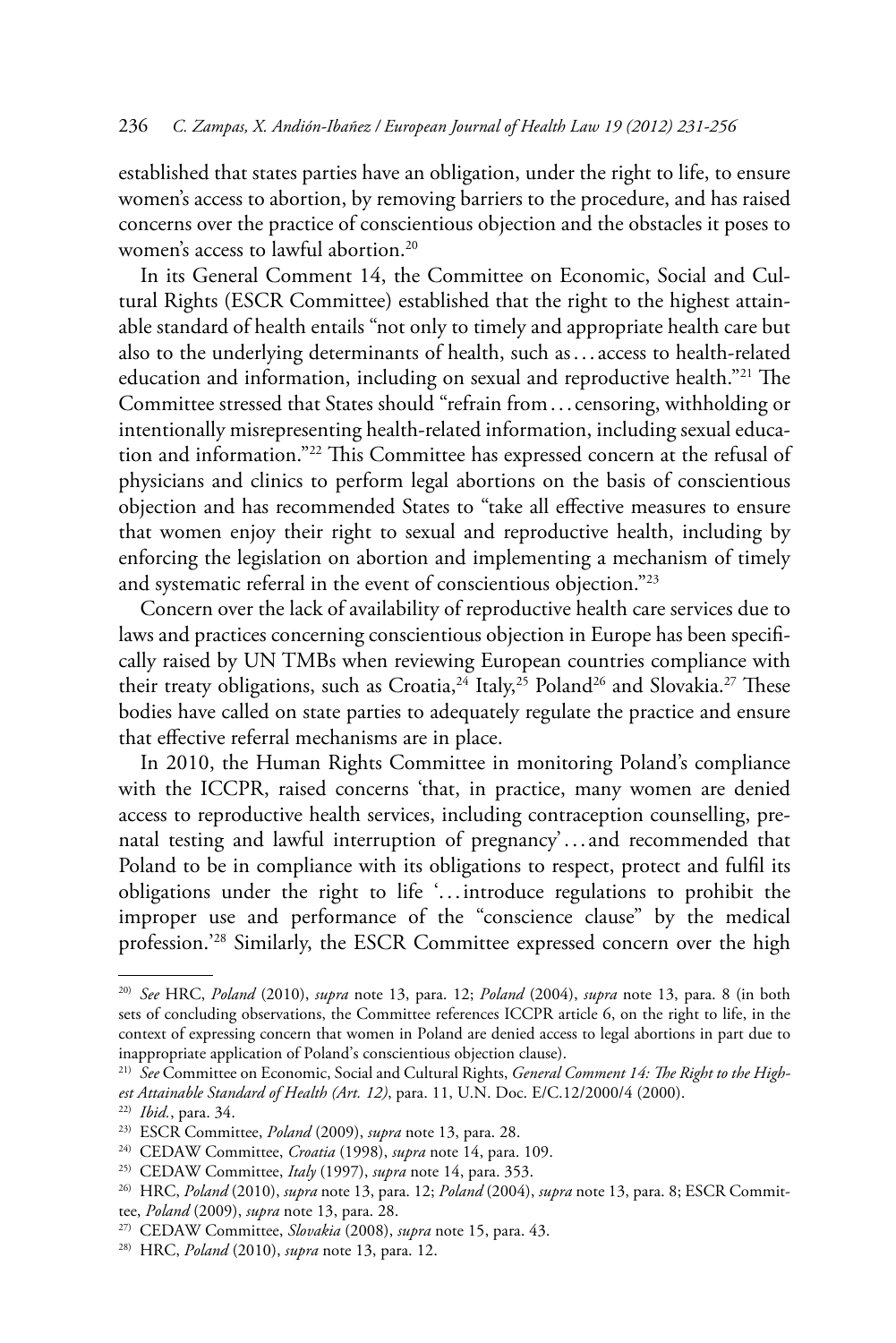established that states parties have an obligation, under the right to life, to ensure women's access to abortion, by removing barriers to the procedure, and has raised concerns over the practice of conscientious objection and the obstacles it poses to women's access to lawful abortion.20

In its General Comment 14, the Committee on Economic, Social and Cultural Rights (ESCR Committee) established that the right to the highest attainable standard of health entails "not only to timely and appropriate health care but also to the underlying determinants of health, such as . . . access to health-related education and information, including on sexual and reproductive health."21 The Committee stressed that States should "refrain from . . . censoring, withholding or intentionally misrepresenting health-related information, including sexual education and information."22 This Committee has expressed concern at the refusal of physicians and clinics to perform legal abortions on the basis of conscientious objection and has recommended States to "take all effective measures to ensure that women enjoy their right to sexual and reproductive health, including by enforcing the legislation on abortion and implementing a mechanism of timely and systematic referral in the event of conscientious objection."23

Concern over the lack of availability of reproductive health care services due to laws and practices concerning conscientious objection in Europe has been specifically raised by UN TMBs when reviewing European countries compliance with their treaty obligations, such as Croatia,<sup>24</sup> Italy,<sup>25</sup> Poland<sup>26</sup> and Slovakia.<sup>27</sup> These bodies have called on state parties to adequately regulate the practice and ensure that effective referral mechanisms are in place.

In 2010, the Human Rights Committee in monitoring Poland's compliance with the ICCPR, raised concerns 'that, in practice, many women are denied access to reproductive health services, including contraception counselling, prenatal testing and lawful interruption of pregnancy'...and recommended that Poland to be in compliance with its obligations to respect, protect and fulfil its obligations under the right to life '. . . introduce regulations to prohibit the improper use and performance of the "conscience clause" by the medical profession.'28 Similarly, the ESCR Committee expressed concern over the high

<sup>20)</sup> *See* HRC, *Poland* (2010), *supra* note 13, para. 12; *Poland* (2004), *supra* note 13, para. 8 (in both sets of concluding observations, the Committee references ICCPR article 6, on the right to life, in the context of expressing concern that women in Poland are denied access to legal abortions in part due to inappropriate application of Poland's conscientious objection clause).

<sup>21)</sup> *See* Committee on Economic, Social and Cultural Rights, *General Comment 14: The Right to the Highest Attainable Standard of Health (Art. 12)*, para. 11, U.N. Doc. E/C.12/2000/4 (2000).

<sup>22)</sup> *Ibid.*, para. 34.

<sup>23)</sup> ESCR Committee, *Poland* (2009), *supra* note 13, para. 28.

<sup>24)</sup> CEDAW Committee, *Croatia* (1998), *supra* note 14, para. 109.

<sup>25)</sup> CEDAW Committee, *Italy* (1997), *supra* note 14, para. 353.

<sup>26)</sup> HRC, *Poland* (2010), *supra* note 13, para. 12; *Poland* (2004), *supra* note 13, para. 8; ESCR Committee, *Poland* (2009), *supra* note 13, para. 28.

<sup>27)</sup> CEDAW Committee, *Slovakia* (2008), *supra* note 15, para. 43.

<sup>28)</sup> HRC, *Poland* (2010), *supra* note 13, para. 12.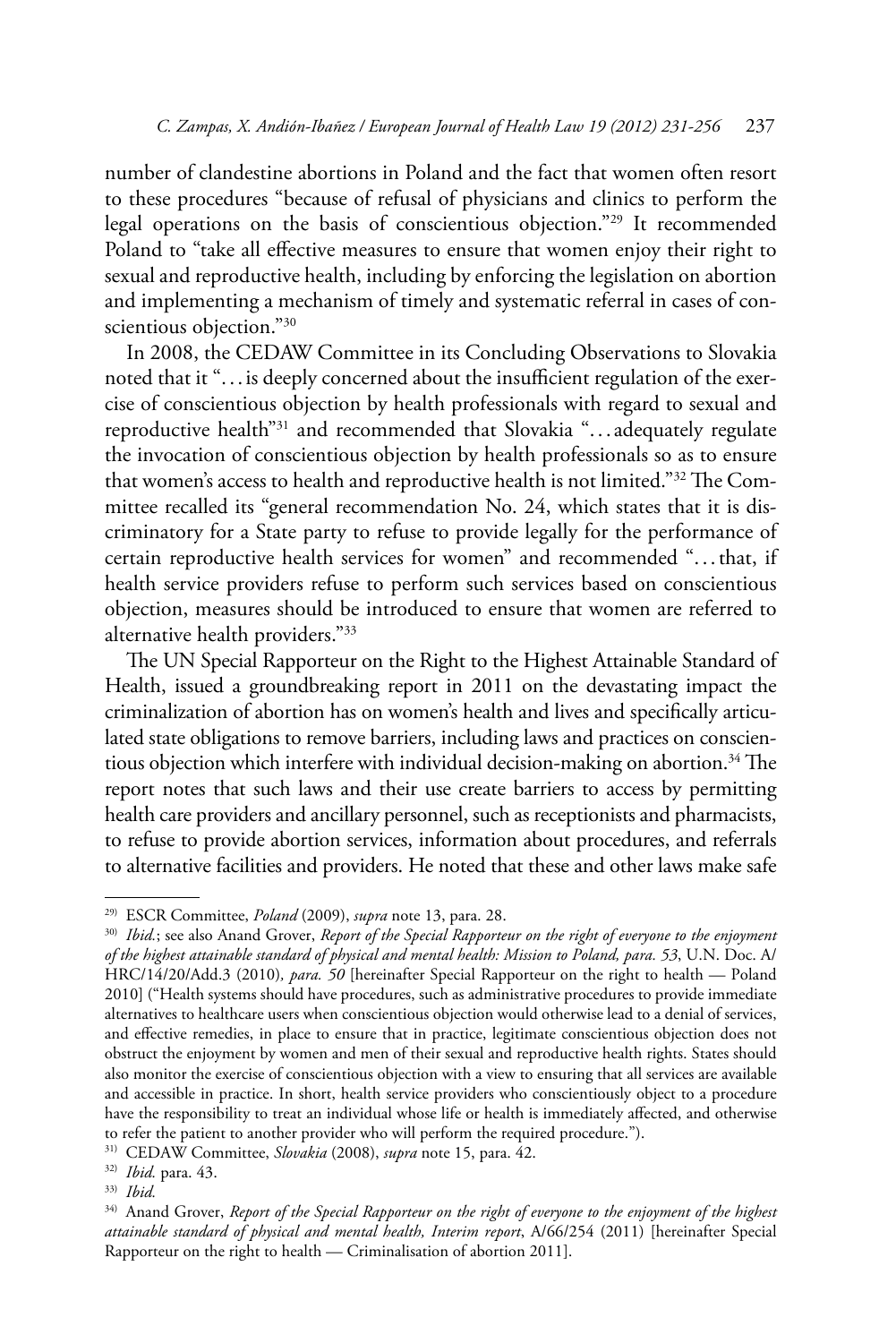number of clandestine abortions in Poland and the fact that women often resort to these procedures "because of refusal of physicians and clinics to perform the legal operations on the basis of conscientious objection."29 It recommended Poland to "take all effective measures to ensure that women enjoy their right to sexual and reproductive health, including by enforcing the legislation on abortion and implementing a mechanism of timely and systematic referral in cases of conscientious objection."<sup>30</sup>

In 2008, the CEDAW Committee in its Concluding Observations to Slovakia noted that it ". . . is deeply concerned about the insufficient regulation of the exercise of conscientious objection by health professionals with regard to sexual and reproductive health"31 and recommended that Slovakia ". . . adequately regulate the invocation of conscientious objection by health professionals so as to ensure that women's access to health and reproductive health is not limited."32 The Committee recalled its "general recommendation No. 24, which states that it is discriminatory for a State party to refuse to provide legally for the performance of certain reproductive health services for women" and recommended ". . . that, if health service providers refuse to perform such services based on conscientious objection, measures should be introduced to ensure that women are referred to alternative health providers."33

The UN Special Rapporteur on the Right to the Highest Attainable Standard of Health, issued a groundbreaking report in 2011 on the devastating impact the criminalization of abortion has on women's health and lives and specifically articulated state obligations to remove barriers, including laws and practices on conscientious objection which interfere with individual decision-making on abortion.<sup>34</sup> The report notes that such laws and their use create barriers to access by permitting health care providers and ancillary personnel, such as receptionists and pharmacists, to refuse to provide abortion services, information about procedures, and referrals to alternative facilities and providers. He noted that these and other laws make safe

<sup>29)</sup> ESCR Committee, *Poland* (2009), *supra* note 13, para. 28.

<sup>30)</sup> *Ibid.*; see also Anand Grover, *Report of the Special Rapporteur on the right of everyone to the enjoyment of the highest attainable standard of physical and mental health: Mission to Poland, para. 53*, U.N. Doc. A/ HRC/14/20/Add.3 (2010)*, para. 50* [hereinafter Special Rapporteur on the right to health — Poland 2010] ("Health systems should have procedures, such as administrative procedures to provide immediate alternatives to healthcare users when conscientious objection would otherwise lead to a denial of services, and effective remedies, in place to ensure that in practice, legitimate conscientious objection does not obstruct the enjoyment by women and men of their sexual and reproductive health rights. States should also monitor the exercise of conscientious objection with a view to ensuring that all services are available and accessible in practice. In short, health service providers who conscientiously object to a procedure have the responsibility to treat an individual whose life or health is immediately affected, and otherwise to refer the patient to another provider who will perform the required procedure.").

<sup>31)</sup> CEDAW Committee, *Slovakia* (2008), *supra* note 15, para. 42.

<sup>32)</sup> *Ibid.* para. 43.

<sup>33)</sup> *Ibid.*

<sup>34)</sup> Anand Grover, *Report of the Special Rapporteur on the right of everyone to the enjoyment of the highest attainable standard of physical and mental health, Interim report*, A/66/254 (2011) [hereinafter Special Rapporteur on the right to health — Criminalisation of abortion 2011].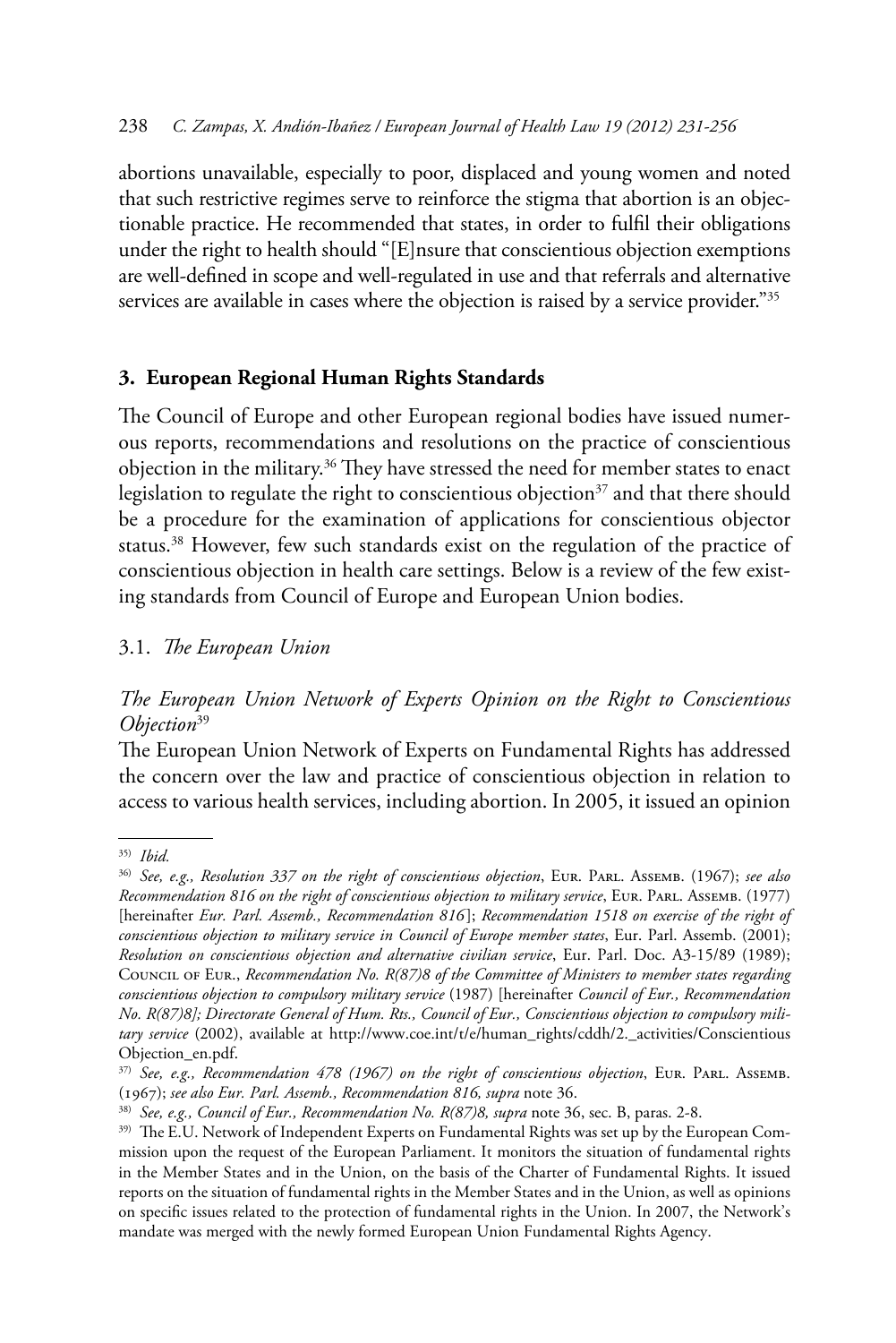abortions unavailable, especially to poor, displaced and young women and noted that such restrictive regimes serve to reinforce the stigma that abortion is an objectionable practice. He recommended that states, in order to fulfil their obligations under the right to health should "[E]nsure that conscientious objection exemptions are well-defined in scope and well-regulated in use and that referrals and alternative services are available in cases where the objection is raised by a service provider."<sup>35</sup>

# **3. European Regional Human Rights Standards**

The Council of Europe and other European regional bodies have issued numerous reports, recommendations and resolutions on the practice of conscientious objection in the military.36 They have stressed the need for member states to enact legislation to regulate the right to conscientious objection $37$  and that there should be a procedure for the examination of applications for conscientious objector status.38 However, few such standards exist on the regulation of the practice of conscientious objection in health care settings. Below is a review of the few existing standards from Council of Europe and European Union bodies.

# 3.1. *The European Union*

*The European Union Network of Experts Opinion on the Right to Conscientious Objection*<sup>39</sup>

The European Union Network of Experts on Fundamental Rights has addressed the concern over the law and practice of conscientious objection in relation to access to various health services, including abortion. In 2005, it issued an opinion

<sup>35)</sup> *Ibid.*

<sup>36)</sup> *See, e.g., Resolution 337 on the right of conscientious objection*, Eur. Parl. Assemb. (1967); *see also Recommendation 816 on the right of conscientious objection to military service*, Eur. Parl. Assemb. (1977) [hereinafter *Eur. Parl. Assemb., Recommendation 816* ]; *Recommendation 1518 on exercise of the right of conscientious objection to military service in Council of Europe member states*, Eur. Parl. Assemb. (2001); *Resolution on conscientious objection and alternative civilian service*, Eur. Parl. Doc. A3-15/89 (1989); Council of Eur., *Recommendation No. R(87)8 of the Committee of Ministers to member states regarding conscientious objection to compulsory military service* (1987) [hereinafter *Council of Eur., Recommendation No. R(87)8]; Directorate General of Hum. Rts., Council of Eur., Conscientious objection to compulsory military service* (2002), available at http://www.coe.int/t/e/human\_rights/cddh/2.\_activities/Conscientious Objection\_en.pdf.

<sup>37)</sup> *See, e.g., Recommendation 478 (1967) on the right of conscientious objection*, Eur. Parl. Assemb. (1967); *see also Eur. Parl. Assemb., Recommendation 816, supra* note 36.

<sup>38)</sup> *See, e.g., Council of Eur., Recommendation No. R(87)8, supra* note 36, sec. B, paras. 2-8.

<sup>&</sup>lt;sup>39)</sup> The E.U. Network of Independent Experts on Fundamental Rights was set up by the European Commission upon the request of the European Parliament. It monitors the situation of fundamental rights in the Member States and in the Union, on the basis of the Charter of Fundamental Rights. It issued reports on the situation of fundamental rights in the Member States and in the Union, as well as opinions on specific issues related to the protection of fundamental rights in the Union. In 2007, the Network's mandate was merged with the newly formed European Union Fundamental Rights Agency.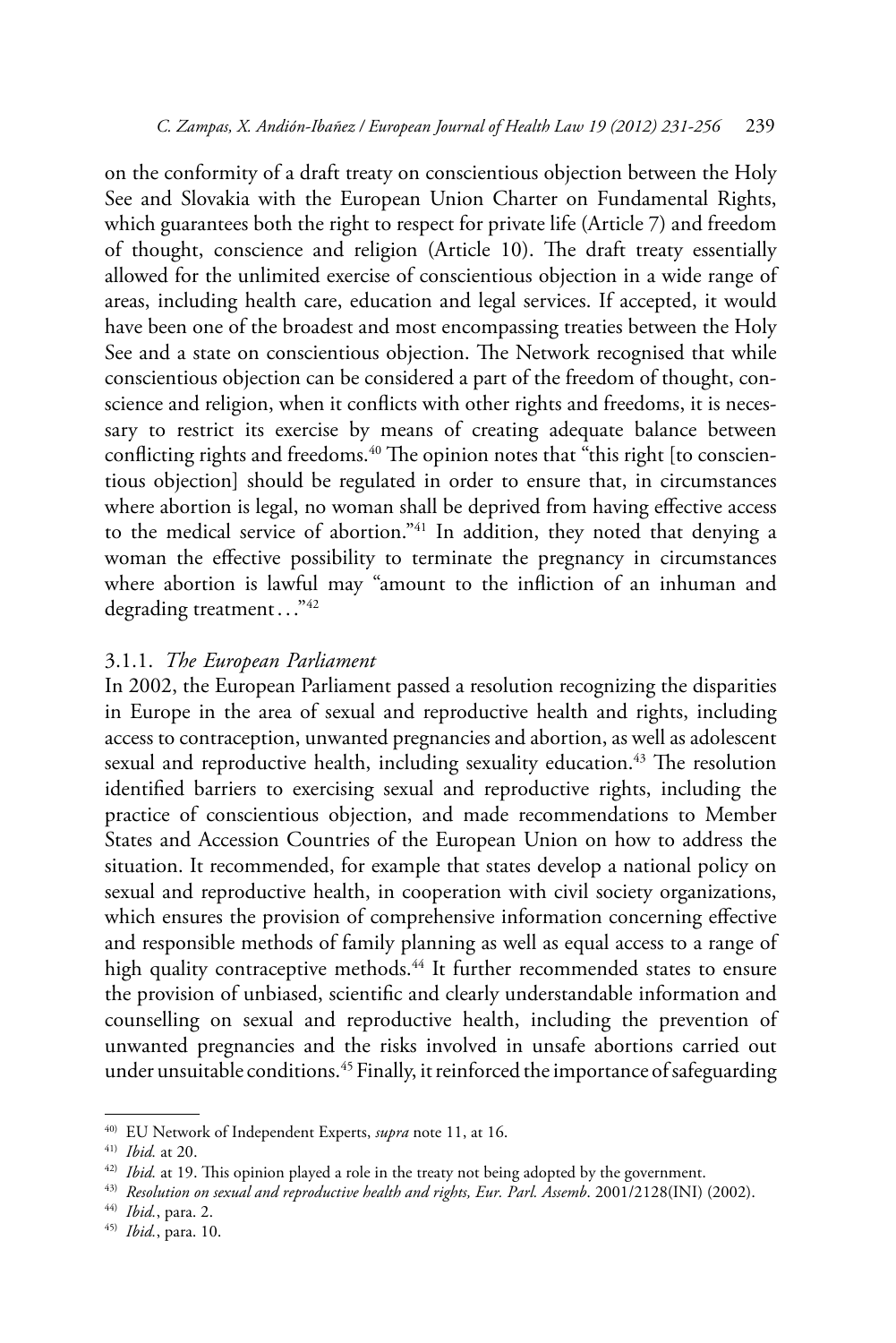on the conformity of a draft treaty on conscientious objection between the Holy See and Slovakia with the European Union Charter on Fundamental Rights, which guarantees both the right to respect for private life (Article 7) and freedom of thought, conscience and religion (Article 10). The draft treaty essentially allowed for the unlimited exercise of conscientious objection in a wide range of areas, including health care, education and legal services. If accepted, it would have been one of the broadest and most encompassing treaties between the Holy See and a state on conscientious objection. The Network recognised that while conscientious objection can be considered a part of the freedom of thought, conscience and religion, when it conflicts with other rights and freedoms, it is necessary to restrict its exercise by means of creating adequate balance between conflicting rights and freedoms.<sup>40</sup> The opinion notes that "this right [to conscientious objection] should be regulated in order to ensure that, in circumstances where abortion is legal, no woman shall be deprived from having effective access to the medical service of abortion."41 In addition, they noted that denying a woman the effective possibility to terminate the pregnancy in circumstances where abortion is lawful may "amount to the infliction of an inhuman and degrading treatment..."<sup>42</sup>

### 3.1.1. *The European Parliament*

In 2002, the European Parliament passed a resolution recognizing the disparities in Europe in the area of sexual and reproductive health and rights, including access to contraception, unwanted pregnancies and abortion, as well as adolescent sexual and reproductive health, including sexuality education.<sup>43</sup> The resolution identified barriers to exercising sexual and reproductive rights, including the practice of conscientious objection, and made recommendations to Member States and Accession Countries of the European Union on how to address the situation. It recommended, for example that states develop a national policy on sexual and reproductive health, in cooperation with civil society organizations, which ensures the provision of comprehensive information concerning effective and responsible methods of family planning as well as equal access to a range of high quality contraceptive methods.<sup>44</sup> It further recommended states to ensure the provision of unbiased, scientific and clearly understandable information and counselling on sexual and reproductive health, including the prevention of unwanted pregnancies and the risks involved in unsafe abortions carried out under unsuitable conditions.<sup>45</sup> Finally, it reinforced the importance of safeguarding

<sup>40)</sup> EU Network of Independent Experts, *supra* note 11, at 16.

<sup>&</sup>lt;sup>41)</sup> *Ibid.* at 20.<br><sup>42)</sup> *Ibid.* at 19. This opinion played a role in the treaty not being adopted by the government.

<sup>&</sup>lt;sup>43)</sup> *Resolution on sexual and reproductive health and rights, Eur. Parl. Assemb.* 2001/2128(INI) (2002).

<sup>44)</sup> *Ibid.*, para. 2. 45) *Ibid.*, para. 10.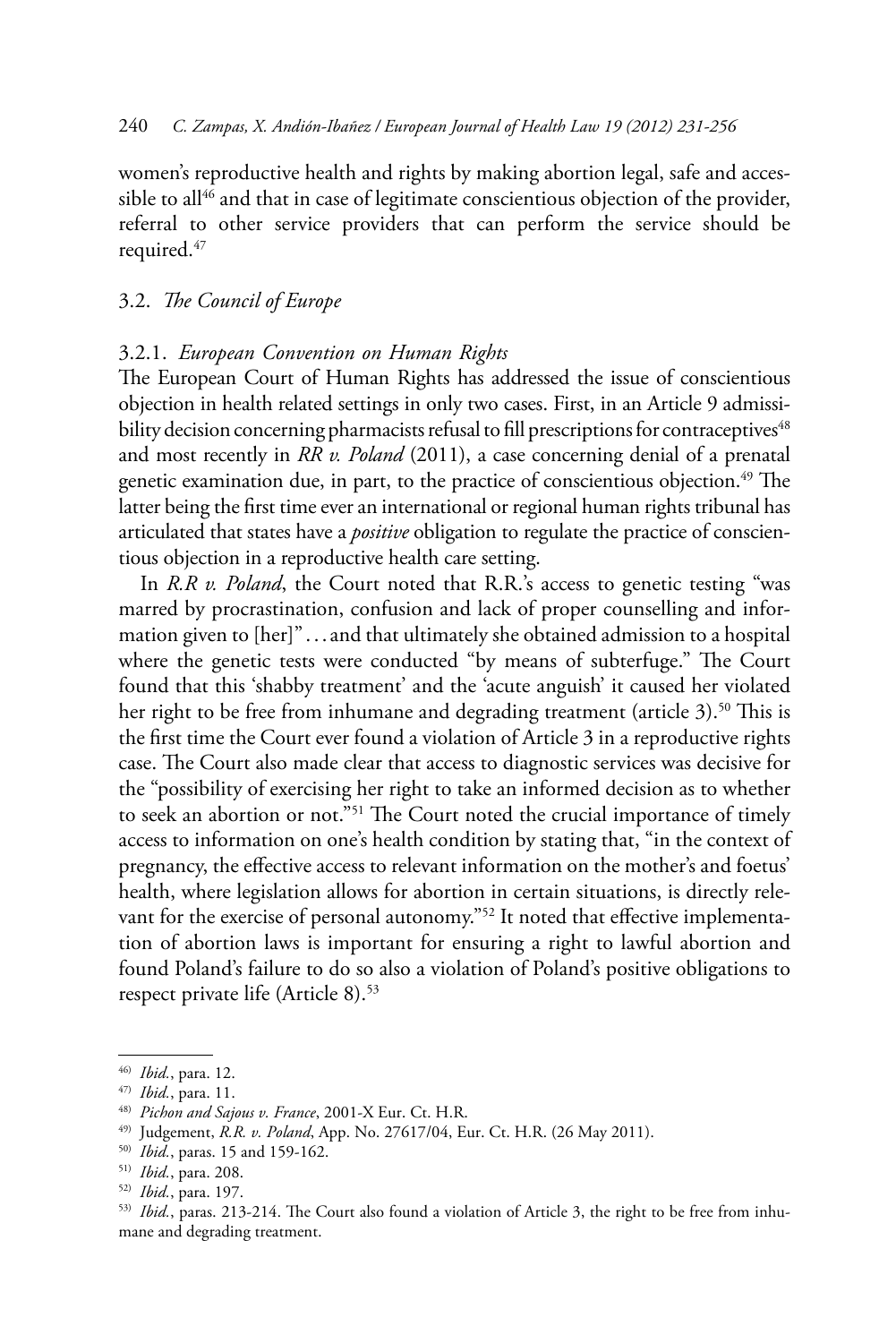women's reproductive health and rights by making abortion legal, safe and accessible to all<sup>46</sup> and that in case of legitimate conscientious objection of the provider, referral to other service providers that can perform the service should be required.<sup>47</sup>

## 3.2. *The Council of Europe*

#### 3.2.1. *European Convention on Human Rights*

The European Court of Human Rights has addressed the issue of conscientious objection in health related settings in only two cases. First, in an Article 9 admissibility decision concerning pharmacists refusal to fill prescriptions for contraceptives<sup>48</sup> and most recently in *RR v. Poland* (2011), a case concerning denial of a prenatal genetic examination due, in part, to the practice of conscientious objection.<sup>49</sup> The latter being the first time ever an international or regional human rights tribunal has articulated that states have a *positive* obligation to regulate the practice of conscientious objection in a reproductive health care setting.

In *R.R v. Poland*, the Court noted that R.R.'s access to genetic testing "was marred by procrastination, confusion and lack of proper counselling and information given to [her]" . . . and that ultimately she obtained admission to a hospital where the genetic tests were conducted "by means of subterfuge." The Court found that this 'shabby treatment' and the 'acute anguish' it caused her violated her right to be free from inhumane and degrading treatment (article 3).<sup>50</sup> This is the first time the Court ever found a violation of Article 3 in a reproductive rights case. The Court also made clear that access to diagnostic services was decisive for the "possibility of exercising her right to take an informed decision as to whether to seek an abortion or not."51 The Court noted the crucial importance of timely access to information on one's health condition by stating that, "in the context of pregnancy, the effective access to relevant information on the mother's and foetus' health, where legislation allows for abortion in certain situations, is directly relevant for the exercise of personal autonomy."<sup>52</sup> It noted that effective implementation of abortion laws is important for ensuring a right to lawful abortion and found Poland's failure to do so also a violation of Poland's positive obligations to respect private life (Article 8).53

<sup>46)</sup> *Ibid.*, para. 12. 47) *Ibid.*, para. 11.

<sup>48)</sup> *Pichon and Sajous v. France*, 2001-X Eur. Ct. H.R.

<sup>49)</sup> Judgement, *R.R. v. Poland*, App. No. 27617/04, Eur. Ct. H.R. (26 May 2011).

<sup>50)</sup> *Ibid.*, paras. 15 and 159-162.

<sup>51)</sup> *Ibid.*, para. 208.

<sup>52)</sup> *Ibid.*, para. 197.

<sup>53)</sup> *Ibid.*, paras. 213-214. The Court also found a violation of Article 3, the right to be free from inhumane and degrading treatment.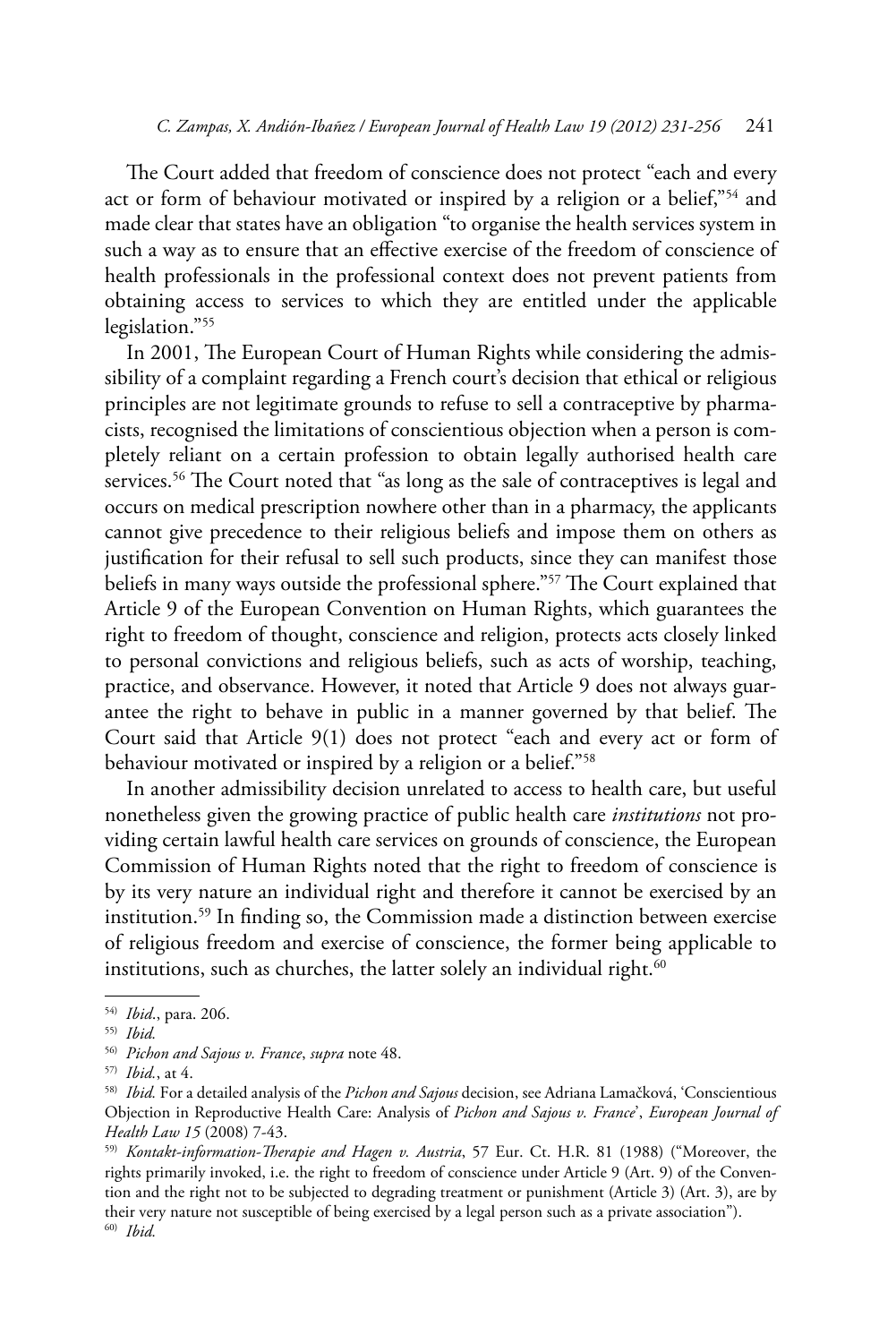The Court added that freedom of conscience does not protect "each and every act or form of behaviour motivated or inspired by a religion or a belief,"<sup>54</sup> and made clear that states have an obligation "to organise the health services system in such a way as to ensure that an effective exercise of the freedom of conscience of health professionals in the professional context does not prevent patients from obtaining access to services to which they are entitled under the applicable legislation."55

In 2001, The European Court of Human Rights while considering the admissibility of a complaint regarding a French court's decision that ethical or religious principles are not legitimate grounds to refuse to sell a contraceptive by pharmacists, recognised the limitations of conscientious objection when a person is completely reliant on a certain profession to obtain legally authorised health care services.<sup>56</sup> The Court noted that "as long as the sale of contraceptives is legal and occurs on medical prescription nowhere other than in a pharmacy, the applicants cannot give precedence to their religious beliefs and impose them on others as justification for their refusal to sell such products, since they can manifest those beliefs in many ways outside the professional sphere."57 The Court explained that Article 9 of the European Convention on Human Rights, which guarantees the right to freedom of thought, conscience and religion, protects acts closely linked to personal convictions and religious beliefs, such as acts of worship, teaching, practice, and observance. However, it noted that Article 9 does not always guarantee the right to behave in public in a manner governed by that belief. The Court said that Article 9(1) does not protect "each and every act or form of behaviour motivated or inspired by a religion or a belief."58

In another admissibility decision unrelated to access to health care, but useful nonetheless given the growing practice of public health care *institutions* not providing certain lawful health care services on grounds of conscience, the European Commission of Human Rights noted that the right to freedom of conscience is by its very nature an individual right and therefore it cannot be exercised by an institution.59 In finding so, the Commission made a distinction between exercise of religious freedom and exercise of conscience, the former being applicable to institutions, such as churches, the latter solely an individual right.<sup>60</sup>

59) *Kontakt-information-Therapie and Hagen v. Austria*, 57 Eur. Ct. H.R. 81 (1988) ("Moreover, the rights primarily invoked, i.e. the right to freedom of conscience under Article 9 (Art. 9) of the Convention and the right not to be subjected to degrading treatment or punishment (Article 3) (Art. 3), are by their very nature not susceptible of being exercised by a legal person such as a private association"). 60) *Ibid.*

<sup>54)</sup> *Ibid*., para. 206.

<sup>55)</sup> *Ibid.*

<sup>56)</sup> *Pichon and Sajous v. France*, *supra* note 48. 57) *Ibid.*, at 4.

<sup>58)</sup> *Ibid.* For a detailed analysis of the *Pichon and Sajous* decision, see Adriana Lamačková, 'Conscientious Objection in Reproductive Health Care: Analysis of *Pichon and Sajous v. France*', *European Journal of Health Law 15* (2008) 7-43.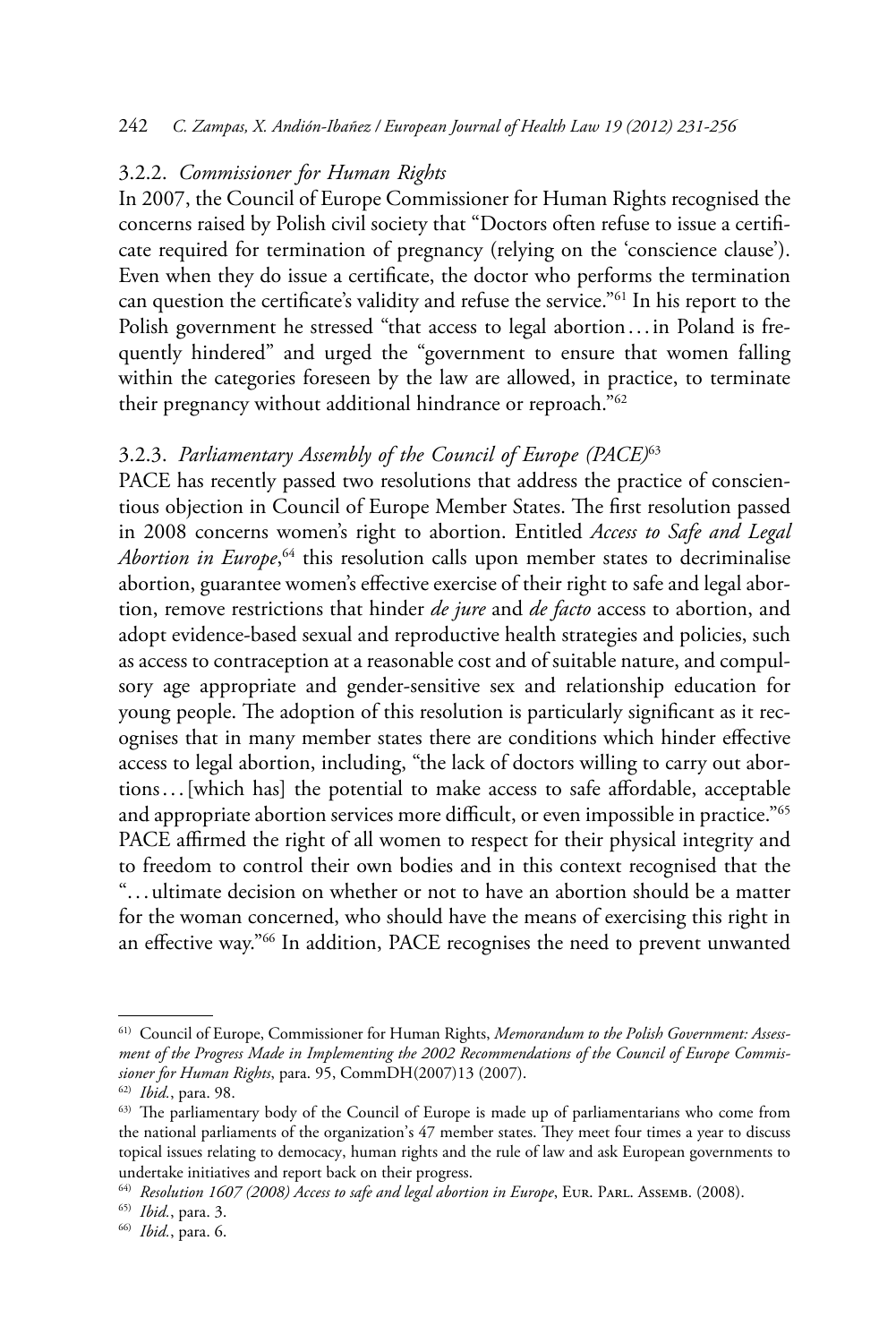# 3.2.2. *Commissioner for Human Rights*

In 2007, the Council of Europe Commissioner for Human Rights recognised the concerns raised by Polish civil society that "Doctors often refuse to issue a certificate required for termination of pregnancy (relying on the 'conscience clause'). Even when they do issue a certificate, the doctor who performs the termination can question the certificate's validity and refuse the service."61 In his report to the Polish government he stressed "that access to legal abortion ... in Poland is frequently hindered" and urged the "government to ensure that women falling within the categories foreseen by the law are allowed, in practice, to terminate their pregnancy without additional hindrance or reproach."62

# 3.2.3. *Parliamentary Assembly of the Council of Europe (PACE)*<sup>63</sup>

PACE has recently passed two resolutions that address the practice of conscientious objection in Council of Europe Member States. The first resolution passed in 2008 concerns women's right to abortion. Entitled *Access to Safe and Legal Abortion in Europe*, 64 this resolution calls upon member states to decriminalise abortion, guarantee women's effective exercise of their right to safe and legal abortion, remove restrictions that hinder *de jure* and *de facto* access to abortion, and adopt evidence-based sexual and reproductive health strategies and policies, such as access to contraception at a reasonable cost and of suitable nature, and compulsory age appropriate and gender-sensitive sex and relationship education for young people. The adoption of this resolution is particularly significant as it recognises that in many member states there are conditions which hinder effective access to legal abortion, including, "the lack of doctors willing to carry out abortions... [which has] the potential to make access to safe affordable, acceptable and appropriate abortion services more difficult, or even impossible in practice."65 PACE affirmed the right of all women to respect for their physical integrity and to freedom to control their own bodies and in this context recognised that the ". . . ultimate decision on whether or not to have an abortion should be a matter for the woman concerned, who should have the means of exercising this right in an effective way."<sup>66</sup> In addition, PACE recognises the need to prevent unwanted

<sup>61)</sup> Council of Europe, Commissioner for Human Rights, *Memorandum to the Polish Government: Assessment of the Progress Made in Implementing the 2002 Recommendations of the Council of Europe Commissioner for Human Rights*, para. 95, CommDH(2007)13 (2007).

<sup>&</sup>lt;sup>63)</sup> The parliamentary body of the Council of Europe is made up of parliamentarians who come from the national parliaments of the organization's 47 member states. They meet four times a year to discuss topical issues relating to democacy, human rights and the rule of law and ask European governments to undertake initiatives and report back on their progress.

<sup>&</sup>lt;sup>64)</sup> *Resolution 1607 (2008) Access to safe and legal abortion in Europe*, EUR. PARL. ASSEMB. (2008).

<sup>65)</sup> *Ibid.*, para. 3.

<sup>66)</sup> *Ibid.*, para. 6.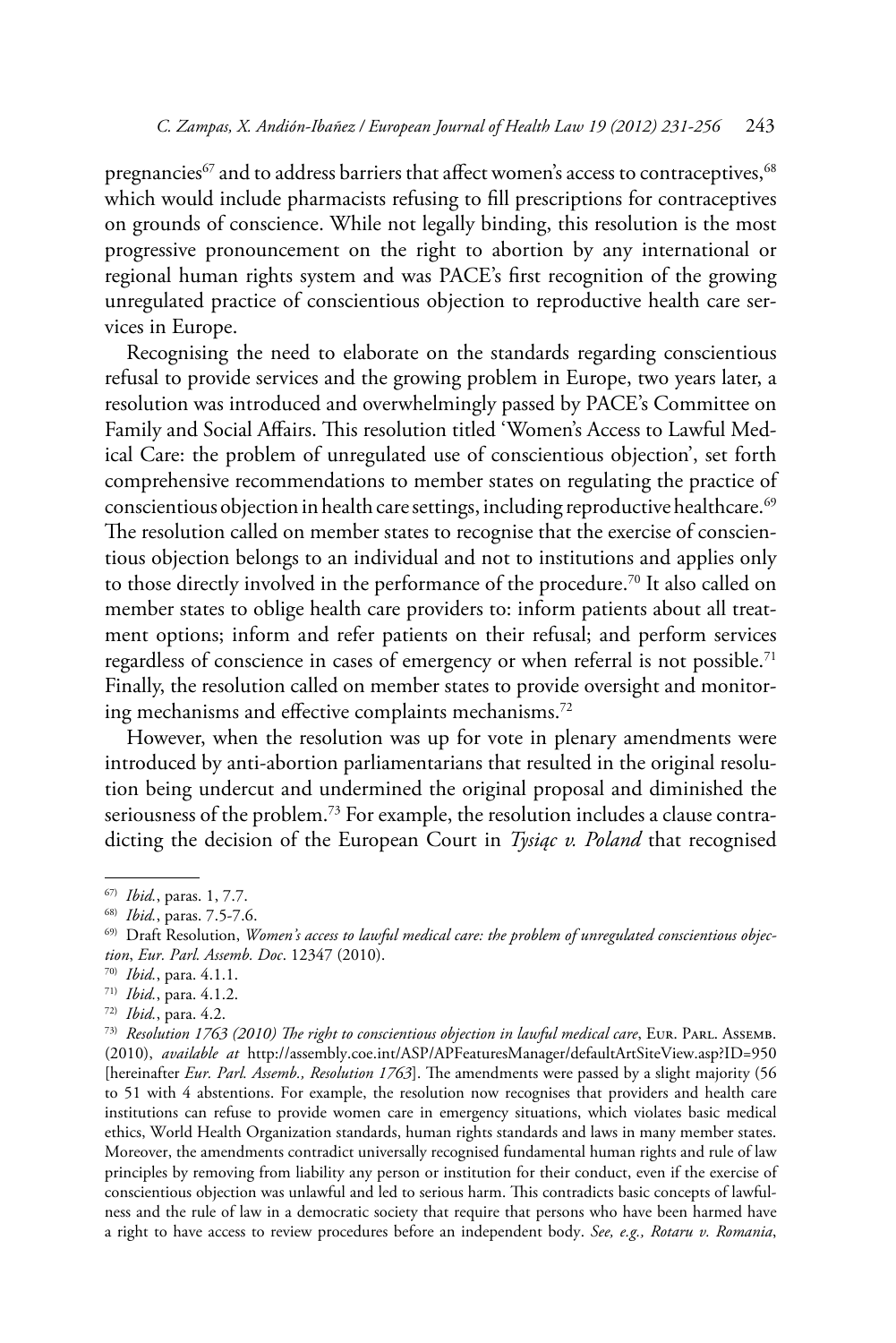pregnancies<sup>67</sup> and to address barriers that affect women's access to contraceptives, <sup>68</sup> which would include pharmacists refusing to fill prescriptions for contraceptives on grounds of conscience. While not legally binding, this resolution is the most progressive pronouncement on the right to abortion by any international or regional human rights system and was PACE's first recognition of the growing unregulated practice of conscientious objection to reproductive health care services in Europe.

Recognising the need to elaborate on the standards regarding conscientious refusal to provide services and the growing problem in Europe, two years later, a resolution was introduced and overwhelmingly passed by PACE's Committee on Family and Social Affairs. This resolution titled 'Women's Access to Lawful Medical Care: the problem of unregulated use of conscientious objection', set forth comprehensive recommendations to member states on regulating the practice of conscientious objection in health care settings, including reproductive healthcare.<sup>69</sup> The resolution called on member states to recognise that the exercise of conscientious objection belongs to an individual and not to institutions and applies only to those directly involved in the performance of the procedure.<sup>70</sup> It also called on member states to oblige health care providers to: inform patients about all treatment options; inform and refer patients on their refusal; and perform services regardless of conscience in cases of emergency or when referral is not possible.<sup>71</sup> Finally, the resolution called on member states to provide oversight and monitoring mechanisms and effective complaints mechanisms.<sup>72</sup>

However, when the resolution was up for vote in plenary amendments were introduced by anti-abortion parliamentarians that resulted in the original resolution being undercut and undermined the original proposal and diminished the seriousness of the problem.73 For example, the resolution includes a clause contradicting the decision of the European Court in *Tysiąc v. Poland* that recognised

<sup>67)</sup> *Ibid.*, paras. 1, 7.7.

<sup>68)</sup> *Ibid.*, paras. 7.5-7.6.

<sup>69)</sup> Draft Resolution, *Women's access to lawful medical care: the problem of unregulated conscientious objection*, *Eur. Parl. Assemb. Doc*. 12347 (2010).

<sup>70)</sup> *Ibid.*, para. 4.1.1.

<sup>71)</sup> *Ibid.*, para. 4.1.2.

<sup>72)</sup> *Ibid.*, para. 4.2.

<sup>73)</sup> *Resolution 1763 (2010) The right to conscientious objection in lawful medical care*, Eur. Parl. Assemb. (2010), *available at* http://assembly.coe.int/ASP/APFeaturesManager/defaultArtSiteView.asp?ID=950 [hereinafter *Eur. Parl. Assemb., Resolution 1763*]. The amendments were passed by a slight majority (56 to 51 with 4 abstentions. For example, the resolution now recognises that providers and health care institutions can refuse to provide women care in emergency situations, which violates basic medical ethics, World Health Organization standards, human rights standards and laws in many member states. Moreover, the amendments contradict universally recognised fundamental human rights and rule of law principles by removing from liability any person or institution for their conduct, even if the exercise of conscientious objection was unlawful and led to serious harm. This contradicts basic concepts of lawfulness and the rule of law in a democratic society that require that persons who have been harmed have a right to have access to review procedures before an independent body. *See, e.g., Rotaru v. Romania*,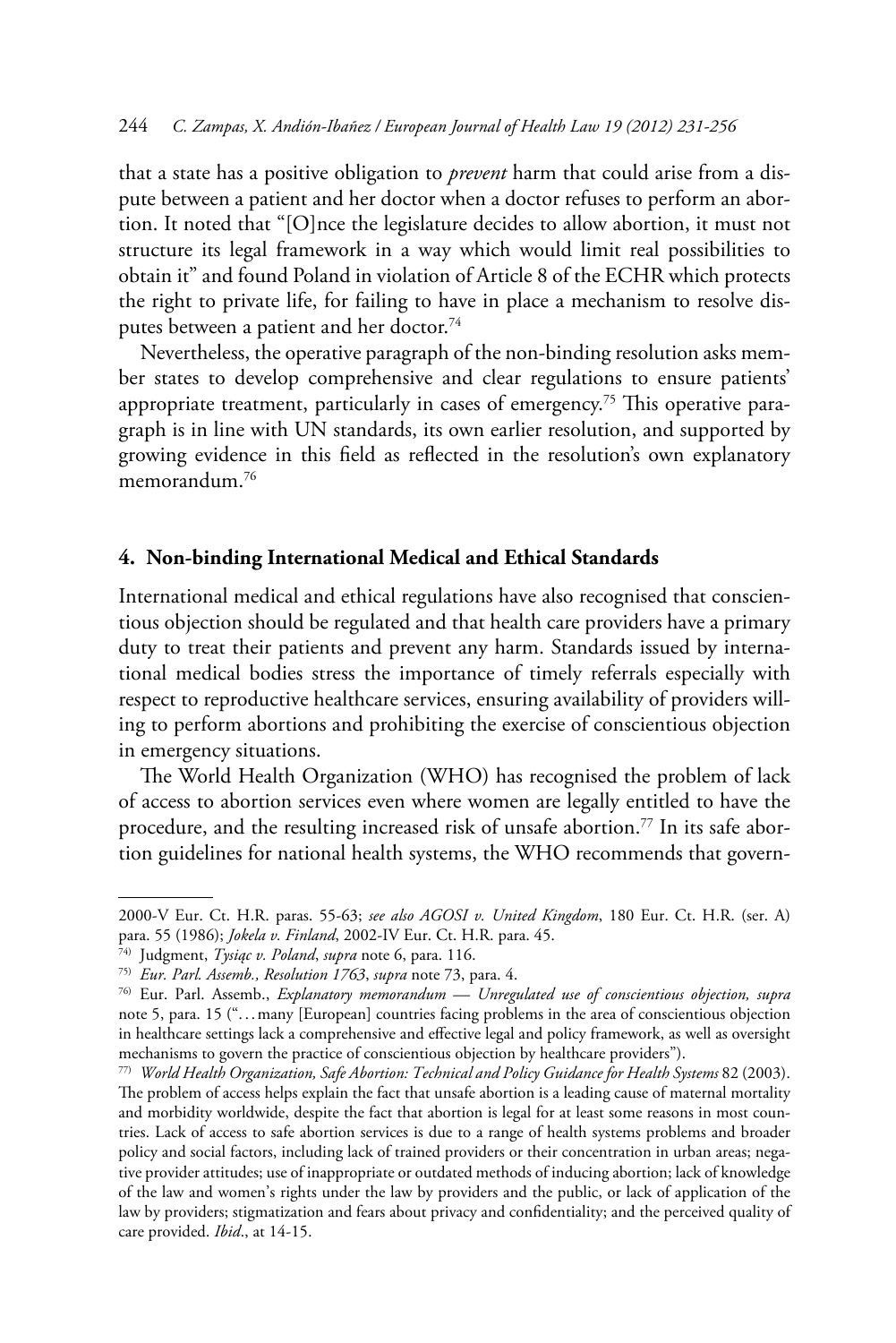that a state has a positive obligation to *prevent* harm that could arise from a dispute between a patient and her doctor when a doctor refuses to perform an abortion. It noted that "[O]nce the legislature decides to allow abortion, it must not structure its legal framework in a way which would limit real possibilities to obtain it" and found Poland in violation of Article 8 of the ECHR which protects the right to private life, for failing to have in place a mechanism to resolve disputes between a patient and her doctor.<sup>74</sup>

Nevertheless, the operative paragraph of the non-binding resolution asks member states to develop comprehensive and clear regulations to ensure patients' appropriate treatment, particularly in cases of emergency.<sup>75</sup> This operative paragraph is in line with UN standards, its own earlier resolution, and supported by growing evidence in this field as reflected in the resolution's own explanatory memorandum.76

#### **4. Non-binding International Medical and Ethical Standards**

International medical and ethical regulations have also recognised that conscientious objection should be regulated and that health care providers have a primary duty to treat their patients and prevent any harm. Standards issued by international medical bodies stress the importance of timely referrals especially with respect to reproductive healthcare services, ensuring availability of providers willing to perform abortions and prohibiting the exercise of conscientious objection in emergency situations.

The World Health Organization (WHO) has recognised the problem of lack of access to abortion services even where women are legally entitled to have the procedure, and the resulting increased risk of unsafe abortion.77 In its safe abortion guidelines for national health systems, the WHO recommends that govern-

<sup>2000-</sup>V Eur. Ct. H.R. paras. 55-63; *see also AGOSI v. United Kingdom*, 180 Eur. Ct. H.R. (ser. A) para. 55 (1986); *Jokela v. Finland*, 2002-IV Eur. Ct. H.R. para. 45.

<sup>74)</sup> Judgment, *Tysiąc v. Poland*, *supra* note 6, para. 116.

<sup>75)</sup> *Eur. Parl. Assemb., Resolution 1763*, *supra* note 73, para. 4. 76) Eur. Parl. Assemb., *Explanatory memorandum — Unregulated use of conscientious objection, supra*  note 5, para. 15 (". . . many [European] countries facing problems in the area of conscientious objection in healthcare settings lack a comprehensive and effective legal and policy framework, as well as oversight mechanisms to govern the practice of conscientious objection by healthcare providers").

<sup>77)</sup> *World Health Organization, Safe Abortion: Technical and Policy Guidance for Health Systems* 82 (2003). The problem of access helps explain the fact that unsafe abortion is a leading cause of maternal mortality and morbidity worldwide, despite the fact that abortion is legal for at least some reasons in most countries. Lack of access to safe abortion services is due to a range of health systems problems and broader policy and social factors, including lack of trained providers or their concentration in urban areas; negative provider attitudes; use of inappropriate or outdated methods of inducing abortion; lack of knowledge of the law and women's rights under the law by providers and the public, or lack of application of the law by providers; stigmatization and fears about privacy and confidentiality; and the perceived quality of care provided. *Ibid*., at 14-15.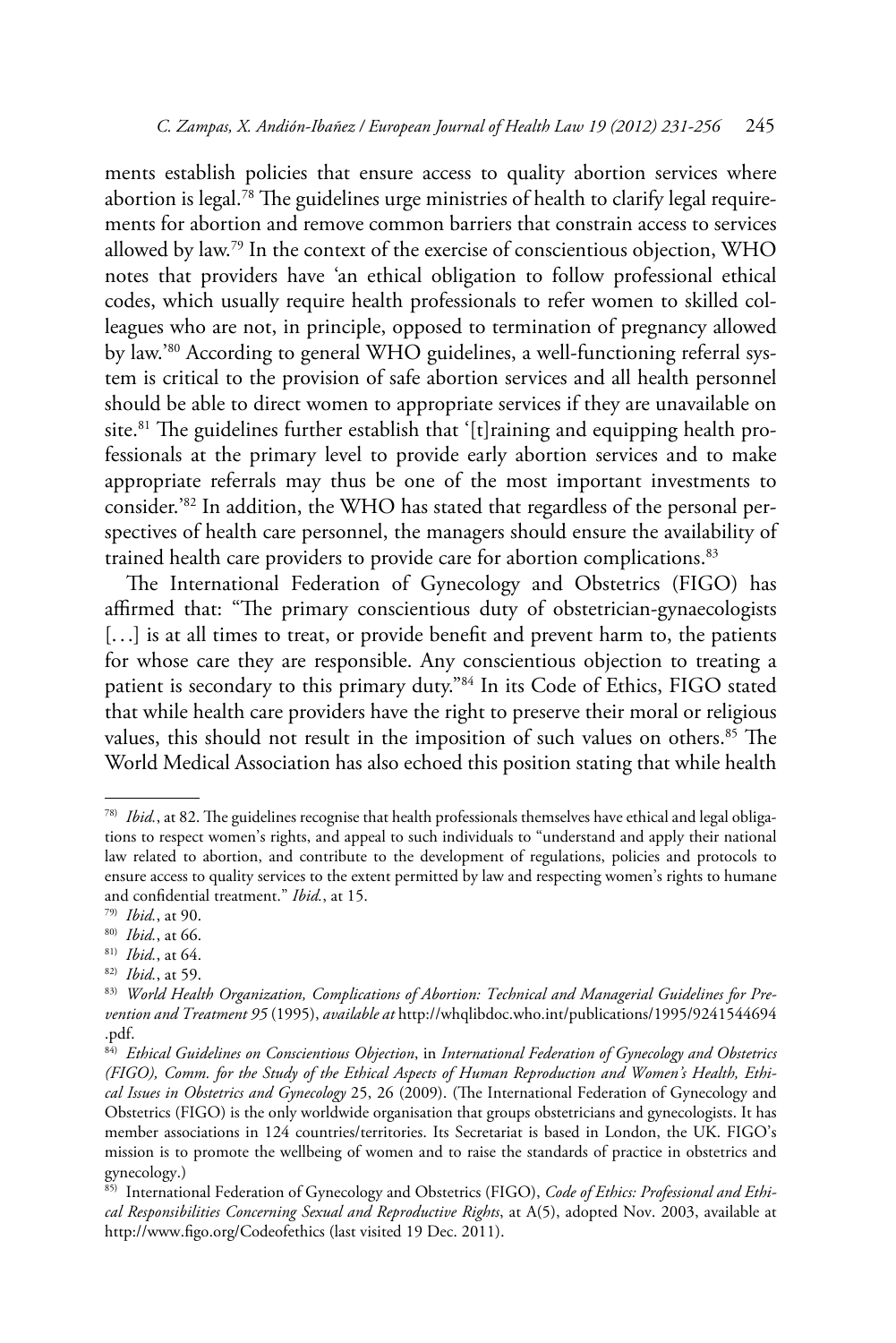ments establish policies that ensure access to quality abortion services where abortion is legal.78 The guidelines urge ministries of health to clarify legal requirements for abortion and remove common barriers that constrain access to services allowed by law.79 In the context of the exercise of conscientious objection, WHO notes that providers have 'an ethical obligation to follow professional ethical codes, which usually require health professionals to refer women to skilled colleagues who are not, in principle, opposed to termination of pregnancy allowed by law.'80 According to general WHO guidelines, a well-functioning referral system is critical to the provision of safe abortion services and all health personnel should be able to direct women to appropriate services if they are unavailable on site.<sup>81</sup> The guidelines further establish that '[t]raining and equipping health professionals at the primary level to provide early abortion services and to make appropriate referrals may thus be one of the most important investments to consider.'82 In addition, the WHO has stated that regardless of the personal perspectives of health care personnel, the managers should ensure the availability of trained health care providers to provide care for abortion complications.<sup>83</sup>

The International Federation of Gynecology and Obstetrics (FIGO) has affirmed that: "The primary conscientious duty of obstetrician-gynaecologists [...] is at all times to treat, or provide benefit and prevent harm to, the patients for whose care they are responsible. Any conscientious objection to treating a patient is secondary to this primary duty."84 In its Code of Ethics, FIGO stated that while health care providers have the right to preserve their moral or religious values, this should not result in the imposition of such values on others.<sup>85</sup> The World Medical Association has also echoed this position stating that while health

82) *Ibid.*, at 59.

<sup>78)</sup> *Ibid.*, at 82. The guidelines recognise that health professionals themselves have ethical and legal obligations to respect women's rights, and appeal to such individuals to "understand and apply their national law related to abortion, and contribute to the development of regulations, policies and protocols to ensure access to quality services to the extent permitted by law and respecting women's rights to humane and confidential treatment." *Ibid.*, at 15.

<sup>79)</sup> *Ibid.*, at 90.

<sup>80)</sup> *Ibid.*, at 66.

<sup>81)</sup> *Ibid.*, at 64.

<sup>83)</sup> *World Health Organization, Complications of Abortion: Technical and Managerial Guidelines for Prevention and Treatment 95* (1995), *available at* http://whqlibdoc.who.int/publications/1995/9241544694 .pdf.

<sup>84)</sup> *Ethical Guidelines on Conscientious Objection*, in *International Federation of Gynecology and Obstetrics (FIGO), Comm. for the Study of the Ethical Aspects of Human Reproduction and Women's Health, Ethical Issues in Obstetrics and Gynecology* 25, 26 (2009). (The International Federation of Gynecology and Obstetrics (FIGO) is the only worldwide organisation that groups obstetricians and gynecologists. It has member associations in 124 countries/territories. Its Secretariat is based in London, the UK. FIGO's mission is to promote the wellbeing of women and to raise the standards of practice in obstetrics and gynecology.)

<sup>85)</sup> International Federation of Gynecology and Obstetrics (FIGO), *Code of Ethics: Professional and Ethical Responsibilities Concerning Sexual and Reproductive Rights*, at A(5), adopted Nov. 2003, available at http://www.figo.org/Codeofethics (last visited 19 Dec. 2011).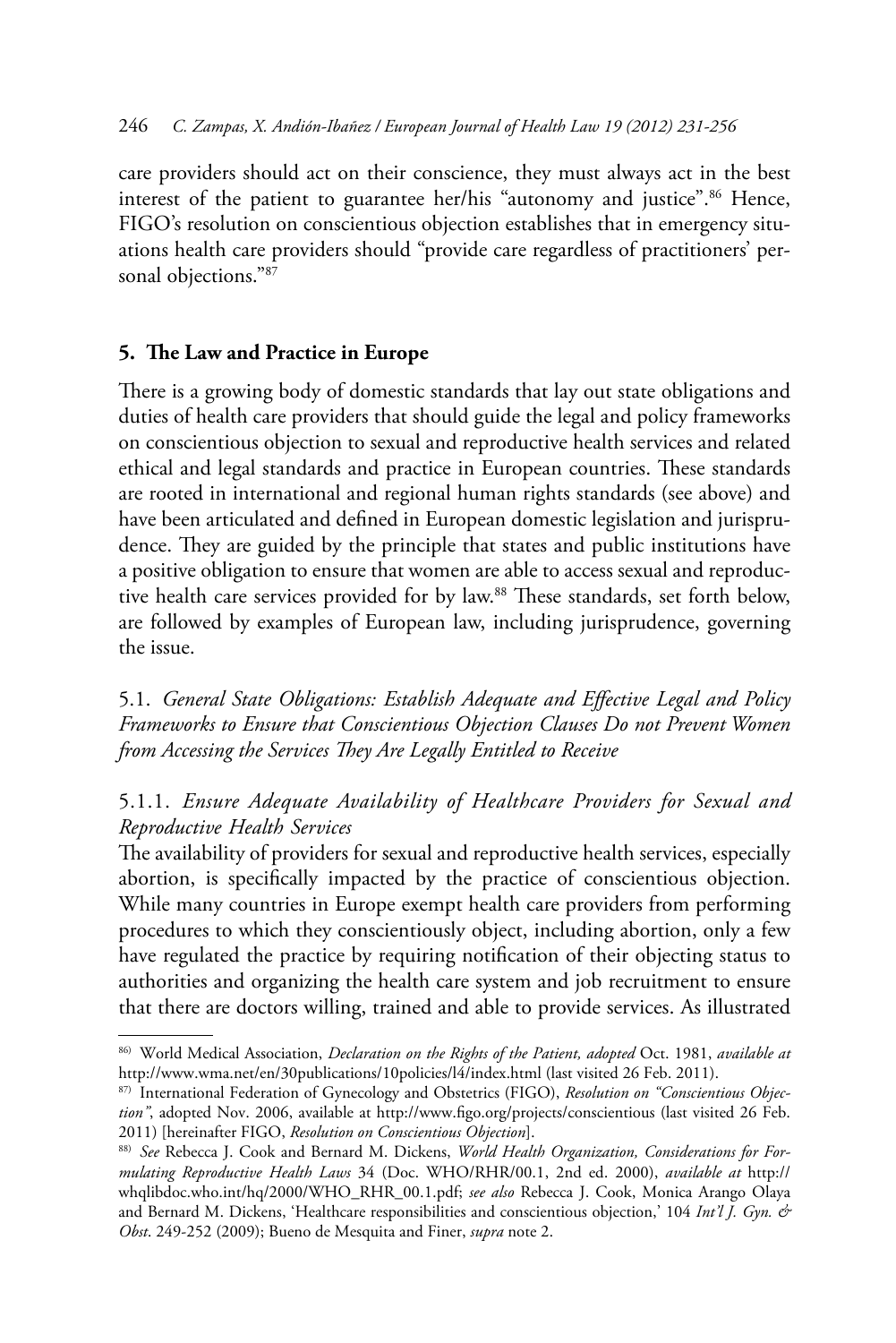care providers should act on their conscience, they must always act in the best interest of the patient to guarantee her/his "autonomy and justice".<sup>86</sup> Hence, FIGO's resolution on conscientious objection establishes that in emergency situations health care providers should "provide care regardless of practitioners' personal objections."87

# **5. The Law and Practice in Europe**

There is a growing body of domestic standards that lay out state obligations and duties of health care providers that should guide the legal and policy frameworks on conscientious objection to sexual and reproductive health services and related ethical and legal standards and practice in European countries. These standards are rooted in international and regional human rights standards (see above) and have been articulated and defined in European domestic legislation and jurisprudence. They are guided by the principle that states and public institutions have a positive obligation to ensure that women are able to access sexual and reproductive health care services provided for by law.<sup>88</sup> These standards, set forth below, are followed by examples of European law, including jurisprudence, governing the issue.

5.1. *General State Obligations: Establish Adequate and Effective Legal and Policy Frameworks to Ensure that Conscientious Objection Clauses Do not Prevent Women from Accessing the Services They Are Legally Entitled to Receive*

# 5.1.1. *Ensure Adequate Availability of Healthcare Providers for Sexual and Reproductive Health Services*

The availability of providers for sexual and reproductive health services, especially abortion, is specifically impacted by the practice of conscientious objection. While many countries in Europe exempt health care providers from performing procedures to which they conscientiously object, including abortion, only a few have regulated the practice by requiring notification of their objecting status to authorities and organizing the health care system and job recruitment to ensure that there are doctors willing, trained and able to provide services. As illustrated

<sup>86)</sup> World Medical Association, *Declaration on the Rights of the Patient, adopted* Oct. 1981, *available at* http://www.wma.net/en/30publications/10policies/l4/index.html (last visited 26 Feb. 2011).

<sup>87)</sup> International Federation of Gynecology and Obstetrics (FIGO), *Resolution on "Conscientious Objection"*, adopted Nov. 2006, available at http://www.figo.org/projects/conscientious (last visited 26 Feb. 2011) [hereinafter FIGO, *Resolution on Conscientious Objection*].

<sup>88)</sup> *See* Rebecca J. Cook and Bernard M. Dickens, *World Health Organization, Considerations for Formulating Reproductive Health Laws* 34 (Doc. WHO/RHR/00.1, 2nd ed. 2000), *available at* http:// whqlibdoc.who.int/hq/2000/WHO\_RHR\_00.1.pdf; *see also* Rebecca J. Cook, Monica Arango Olaya and Bernard M. Dickens, 'Healthcare responsibilities and conscientious objection,' 104 *Int'l J. Gyn. & Obst*. 249-252 (2009); Bueno de Mesquita and Finer, *supra* note 2.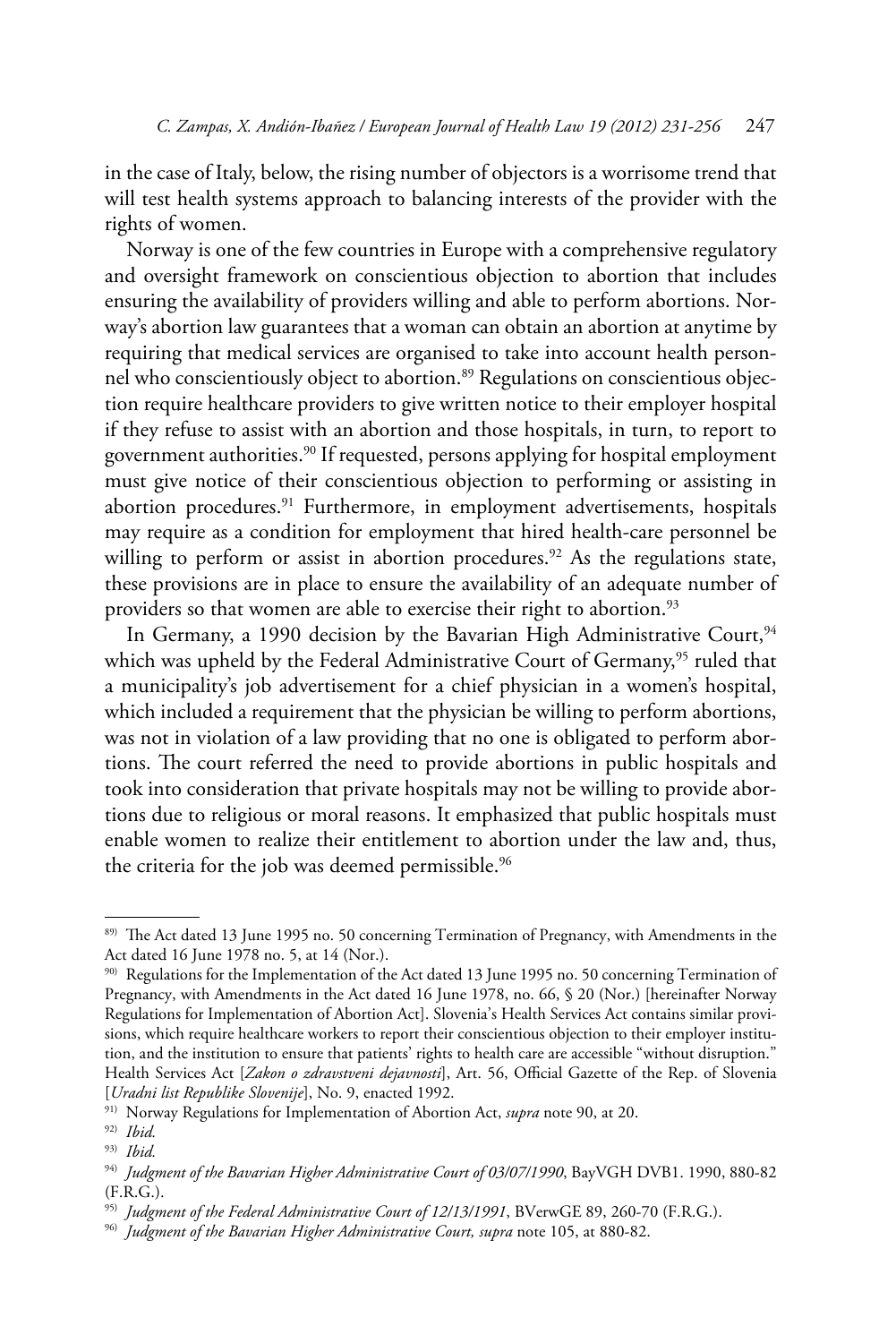in the case of Italy, below, the rising number of objectors is a worrisome trend that will test health systems approach to balancing interests of the provider with the rights of women.

Norway is one of the few countries in Europe with a comprehensive regulatory and oversight framework on conscientious objection to abortion that includes ensuring the availability of providers willing and able to perform abortions. Norway's abortion law guarantees that a woman can obtain an abortion at anytime by requiring that medical services are organised to take into account health personnel who conscientiously object to abortion.<sup>89</sup> Regulations on conscientious objection require healthcare providers to give written notice to their employer hospital if they refuse to assist with an abortion and those hospitals, in turn, to report to government authorities.<sup>90</sup> If requested, persons applying for hospital employment must give notice of their conscientious objection to performing or assisting in abortion procedures.<sup>91</sup> Furthermore, in employment advertisements, hospitals may require as a condition for employment that hired health-care personnel be willing to perform or assist in abortion procedures.<sup>92</sup> As the regulations state, these provisions are in place to ensure the availability of an adequate number of providers so that women are able to exercise their right to abortion.<sup>93</sup>

In Germany, a 1990 decision by the Bavarian High Administrative Court, 94 which was upheld by the Federal Administrative Court of Germany,<sup>95</sup> ruled that a municipality's job advertisement for a chief physician in a women's hospital, which included a requirement that the physician be willing to perform abortions, was not in violation of a law providing that no one is obligated to perform abortions. The court referred the need to provide abortions in public hospitals and took into consideration that private hospitals may not be willing to provide abortions due to religious or moral reasons. It emphasized that public hospitals must enable women to realize their entitlement to abortion under the law and, thus, the criteria for the job was deemed permissible.<sup>96</sup>

<sup>89)</sup> The Act dated 13 June 1995 no. 50 concerning Termination of Pregnancy, with Amendments in the Act dated 16 June 1978 no. 5, at 14 (Nor.).

<sup>90)</sup> Regulations for the Implementation of the Act dated 13 June 1995 no. 50 concerning Termination of Pregnancy, with Amendments in the Act dated 16 June 1978, no. 66, § 20 (Nor.) [hereinafter Norway Regulations for Implementation of Abortion Act]. Slovenia's Health Services Act contains similar provisions, which require healthcare workers to report their conscientious objection to their employer institution, and the institution to ensure that patients' rights to health care are accessible "without disruption." Health Services Act [*Zakon o zdravstveni dejavnosti*], Art. 56, Official Gazette of the Rep. of Slovenia [*Uradni list Republike Slovenije*], No. 9, enacted 1992.

<sup>91)</sup> Norway Regulations for Implementation of Abortion Act, *supra* note 90, at 20.

<sup>92)</sup> *Ibid.*

<sup>93)</sup> *Ibid.*

<sup>94)</sup> *Judgment of the Bavarian Higher Administrative Court of 03/07/1990*, BayVGH DVB1. 1990, 880-82 (F.R.G.).<br><sup>95)</sup> Judgment of the Federal Administrative Court of 12/13/1991, BVerwGE 89, 260-70 (F.R.G.).

<sup>&</sup>lt;sup>96)</sup> *Judgment of the Bavarian Higher Administrative Court, supra* note 105, at 880-82.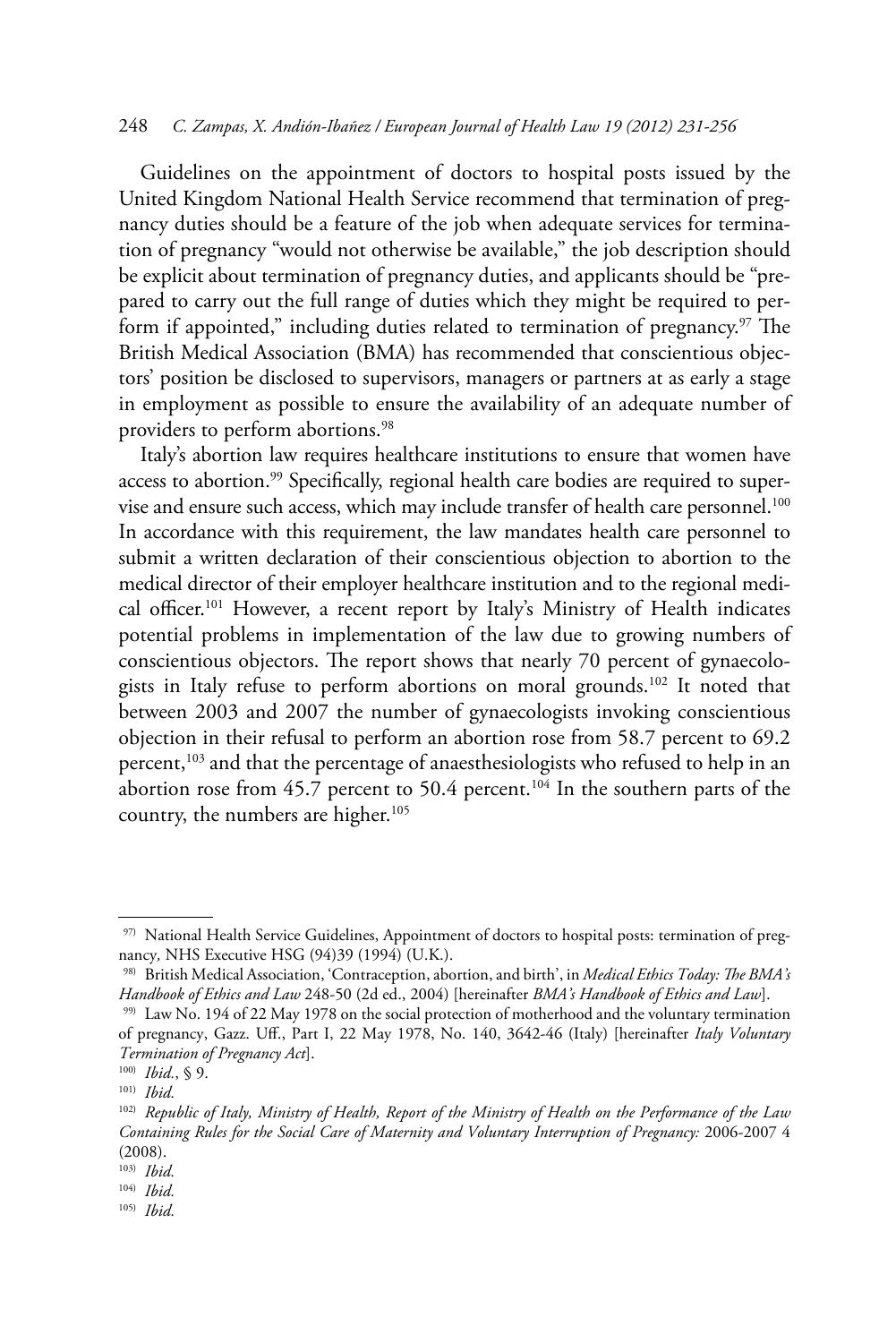#### 248 *C. Zampas, X. Andión-Ibañez / European Journal of Health Law 19 (2012) 231-256*

Guidelines on the appointment of doctors to hospital posts issued by the United Kingdom National Health Service recommend that termination of pregnancy duties should be a feature of the job when adequate services for termination of pregnancy "would not otherwise be available," the job description should be explicit about termination of pregnancy duties, and applicants should be "prepared to carry out the full range of duties which they might be required to perform if appointed," including duties related to termination of pregnancy.<sup>97</sup> The British Medical Association (BMA) has recommended that conscientious objectors' position be disclosed to supervisors, managers or partners at as early a stage in employment as possible to ensure the availability of an adequate number of providers to perform abortions.<sup>98</sup>

Italy's abortion law requires healthcare institutions to ensure that women have access to abortion.<sup>99</sup> Specifically, regional health care bodies are required to supervise and ensure such access, which may include transfer of health care personnel.<sup>100</sup> In accordance with this requirement, the law mandates health care personnel to submit a written declaration of their conscientious objection to abortion to the medical director of their employer healthcare institution and to the regional medical officer.101 However, a recent report by Italy's Ministry of Health indicates potential problems in implementation of the law due to growing numbers of conscientious objectors. The report shows that nearly 70 percent of gynaecologists in Italy refuse to perform abortions on moral grounds.102 It noted that between 2003 and 2007 the number of gynaecologists invoking conscientious objection in their refusal to perform an abortion rose from 58.7 percent to 69.2 percent,103 and that the percentage of anaesthesiologists who refused to help in an abortion rose from  $45.7$  percent to  $50.4$  percent.<sup>104</sup> In the southern parts of the country, the numbers are higher.<sup>105</sup>

 $97$ ) National Health Service Guidelines, Appointment of doctors to hospital posts: termination of pregnancy, NHS Executive HSG (94)39 (1994) (U.K.).

<sup>&</sup>lt;sup>98)</sup> British Medical Association, 'Contraception, abortion, and birth', in *Medical Ethics Today: The BMA's Handbook of Ethics and Law* 248-50 (2d ed., 2004) [hereinafter *BMA's Handbook of Ethics and Law*]. 99) Law No. 194 of 22 May 1978 on the social protection of motherhood and the voluntary termination

of pregnancy, Gazz. Uff., Part I, 22 May 1978, No. 140, 3642-46 (Italy) [hereinafter *Italy Voluntary Termination of Pregnancy Act*].

<sup>100)</sup> *Ibid.*, § 9.

<sup>101)</sup> *Ibid.*

<sup>102)</sup> *Republic of Italy, Ministry of Health, Report of the Ministry of Health on the Performance of the Law Containing Rules for the Social Care of Maternity and Voluntary Interruption of Pregnancy:* 2006-2007 4 (2008).

<sup>103)</sup> *Ibid.*

<sup>104)</sup> *Ibid.*

<sup>105)</sup> *Ibid.*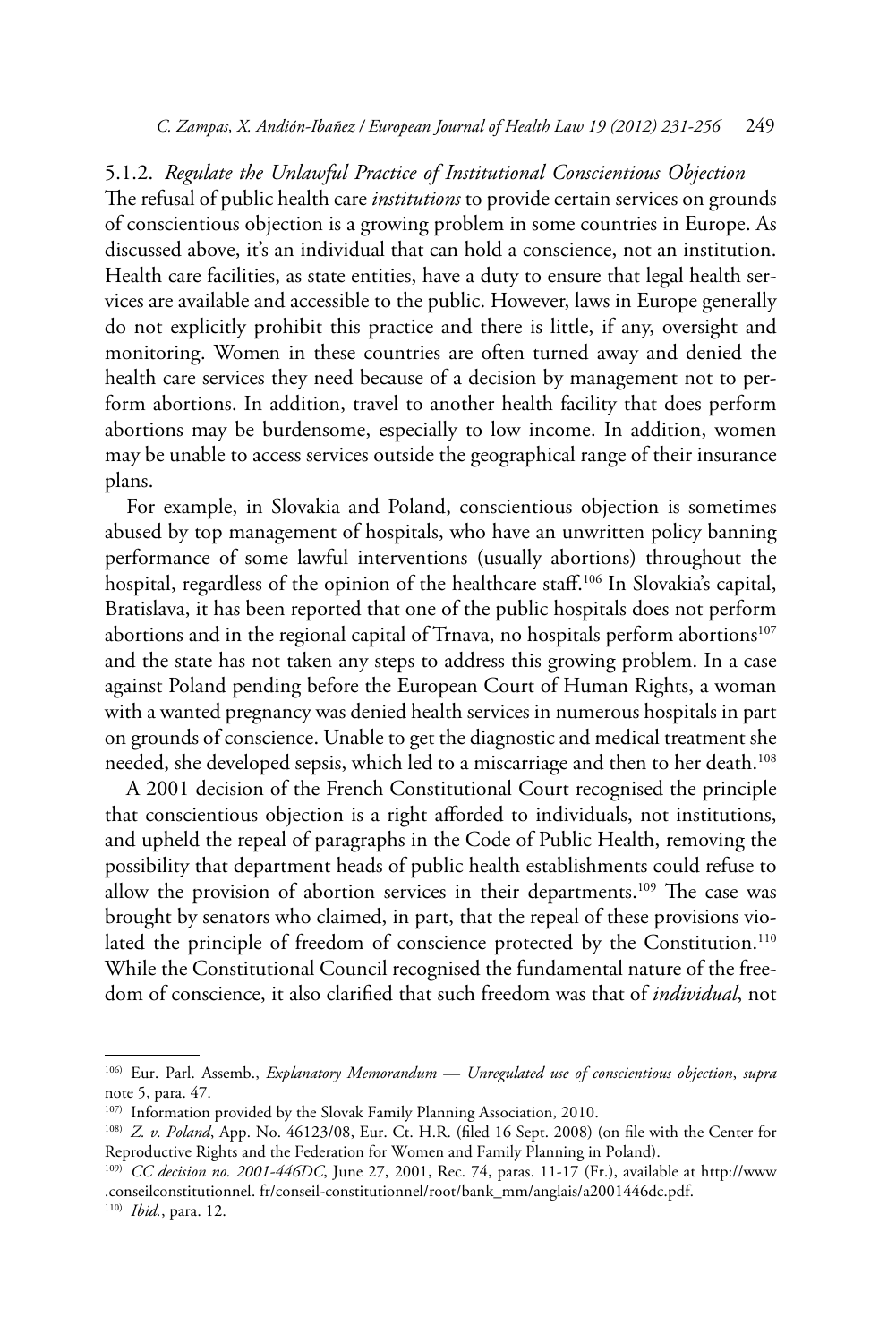#### 5.1.2. *Regulate the Unlawful Practice of Institutional Conscientious Objection*

The refusal of public health care *institutions* to provide certain services on grounds of conscientious objection is a growing problem in some countries in Europe. As discussed above, it's an individual that can hold a conscience, not an institution. Health care facilities, as state entities, have a duty to ensure that legal health services are available and accessible to the public. However, laws in Europe generally do not explicitly prohibit this practice and there is little, if any, oversight and monitoring. Women in these countries are often turned away and denied the health care services they need because of a decision by management not to perform abortions. In addition, travel to another health facility that does perform abortions may be burdensome, especially to low income. In addition, women may be unable to access services outside the geographical range of their insurance plans.

For example, in Slovakia and Poland, conscientious objection is sometimes abused by top management of hospitals, who have an unwritten policy banning performance of some lawful interventions (usually abortions) throughout the hospital, regardless of the opinion of the healthcare staff.<sup>106</sup> In Slovakia's capital, Bratislava, it has been reported that one of the public hospitals does not perform abortions and in the regional capital of Trnava, no hospitals perform abortions $107$ and the state has not taken any steps to address this growing problem. In a case against Poland pending before the European Court of Human Rights, a woman with a wanted pregnancy was denied health services in numerous hospitals in part on grounds of conscience. Unable to get the diagnostic and medical treatment she needed, she developed sepsis, which led to a miscarriage and then to her death.108

A 2001 decision of the French Constitutional Court recognised the principle that conscientious objection is a right afforded to individuals, not institutions, and upheld the repeal of paragraphs in the Code of Public Health, removing the possibility that department heads of public health establishments could refuse to allow the provision of abortion services in their departments.109 The case was brought by senators who claimed, in part, that the repeal of these provisions violated the principle of freedom of conscience protected by the Constitution.<sup>110</sup> While the Constitutional Council recognised the fundamental nature of the freedom of conscience, it also clarified that such freedom was that of *individual*, not

<sup>106)</sup> Eur. Parl. Assemb., *Explanatory Memorandum — Unregulated use of conscientious objection*, *supra*  note 5, para. 47.

<sup>107)</sup> Information provided by the Slovak Family Planning Association, 2010.

<sup>108)</sup> *Z. v. Poland*, App. No. 46123/08, Eur. Ct. H.R. (filed 16 Sept. 2008) (on file with the Center for Reproductive Rights and the Federation for Women and Family Planning in Poland).

<sup>109)</sup> *CC decision no. 2001-446DC*, June 27, 2001, Rec. 74, paras. 11-17 (Fr.), available at http://www .conseilconstitutionnel. fr/conseil-constitutionnel/root/bank\_mm/anglais/a2001446dc.pdf.

<sup>110)</sup> *Ibid.*, para. 12.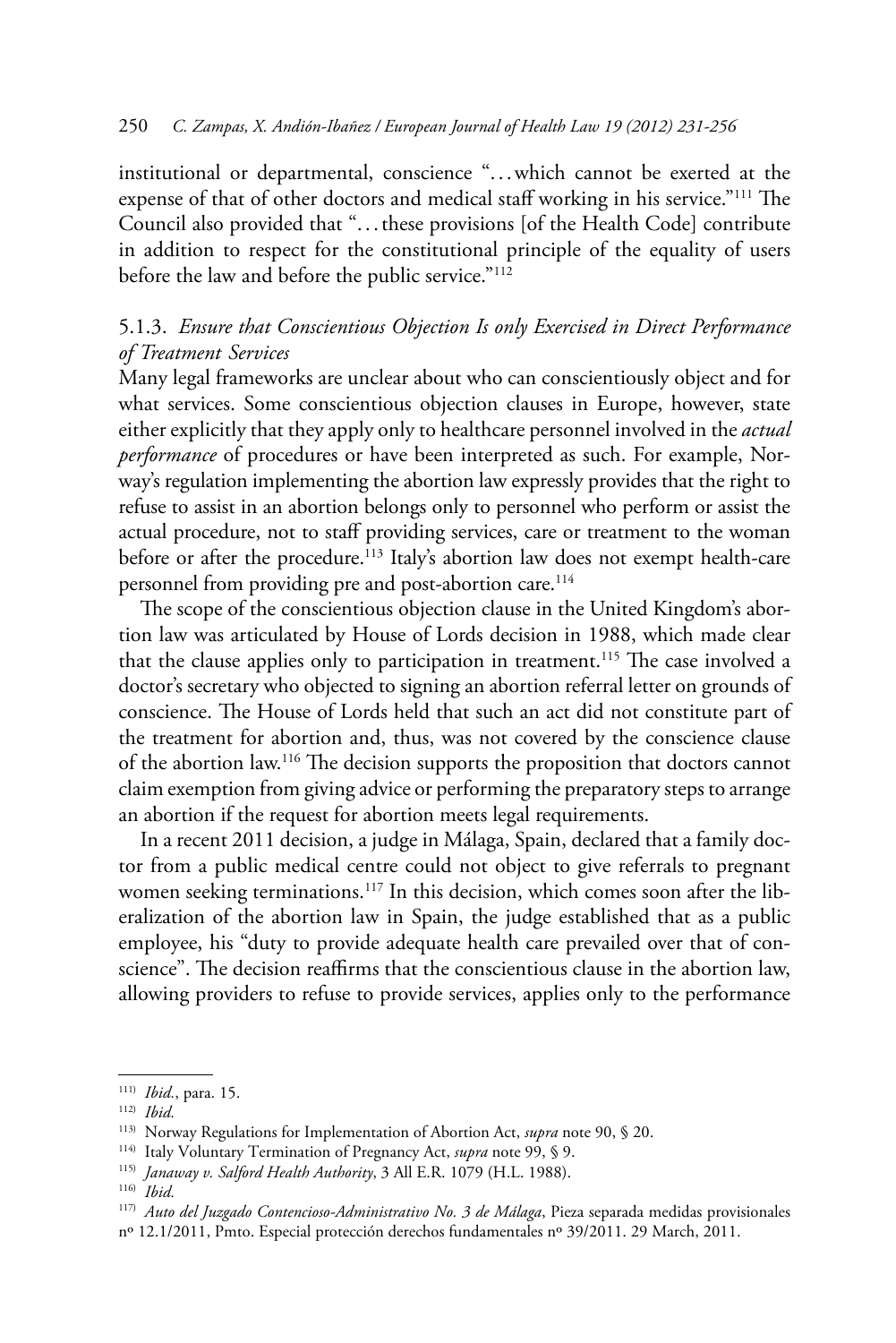institutional or departmental, conscience ". . . which cannot be exerted at the expense of that of other doctors and medical staff working in his service."111 The Council also provided that ". . . these provisions [of the Health Code] contribute in addition to respect for the constitutional principle of the equality of users before the law and before the public service."112

# 5.1.3. *Ensure that Conscientious Objection Is only Exercised in Direct Performance of Treatment Services*

Many legal frameworks are unclear about who can conscientiously object and for what services. Some conscientious objection clauses in Europe, however, state either explicitly that they apply only to healthcare personnel involved in the *actual performance* of procedures or have been interpreted as such. For example, Norway's regulation implementing the abortion law expressly provides that the right to refuse to assist in an abortion belongs only to personnel who perform or assist the actual procedure, not to staff providing services, care or treatment to the woman before or after the procedure.<sup>113</sup> Italy's abortion law does not exempt health-care personnel from providing pre and post-abortion care.<sup>114</sup>

The scope of the conscientious objection clause in the United Kingdom's abortion law was articulated by House of Lords decision in 1988, which made clear that the clause applies only to participation in treatment.<sup>115</sup> The case involved a doctor's secretary who objected to signing an abortion referral letter on grounds of conscience. The House of Lords held that such an act did not constitute part of the treatment for abortion and, thus, was not covered by the conscience clause of the abortion law.116 The decision supports the proposition that doctors cannot claim exemption from giving advice or performing the preparatory steps to arrange an abortion if the request for abortion meets legal requirements.

In a recent 2011 decision, a judge in Málaga, Spain, declared that a family doctor from a public medical centre could not object to give referrals to pregnant women seeking terminations.<sup>117</sup> In this decision, which comes soon after the liberalization of the abortion law in Spain, the judge established that as a public employee, his "duty to provide adequate health care prevailed over that of conscience". The decision reaffirms that the conscientious clause in the abortion law, allowing providers to refuse to provide services, applies only to the performance

<sup>111)</sup> *Ibid.*, para. 15. 112) *Ibid.*

<sup>113)</sup> Norway Regulations for Implementation of Abortion Act, *supra* note 90, § 20.

<sup>114)</sup> Italy Voluntary Termination of Pregnancy Act, *supra* note 99, § 9.

<sup>115)</sup> *Janaway v. Salford Health Authority*, 3 All E.R. 1079 (H.L. 1988).

<sup>116)</sup> *Ibid.*

<sup>117)</sup> *Auto del Juzgado Contencioso-Administrativo No. 3 de Málaga*, Pieza separada medidas provisionales nº 12.1/2011, Pmto. Especial protección derechos fundamentales nº 39/2011. 29 March, 2011.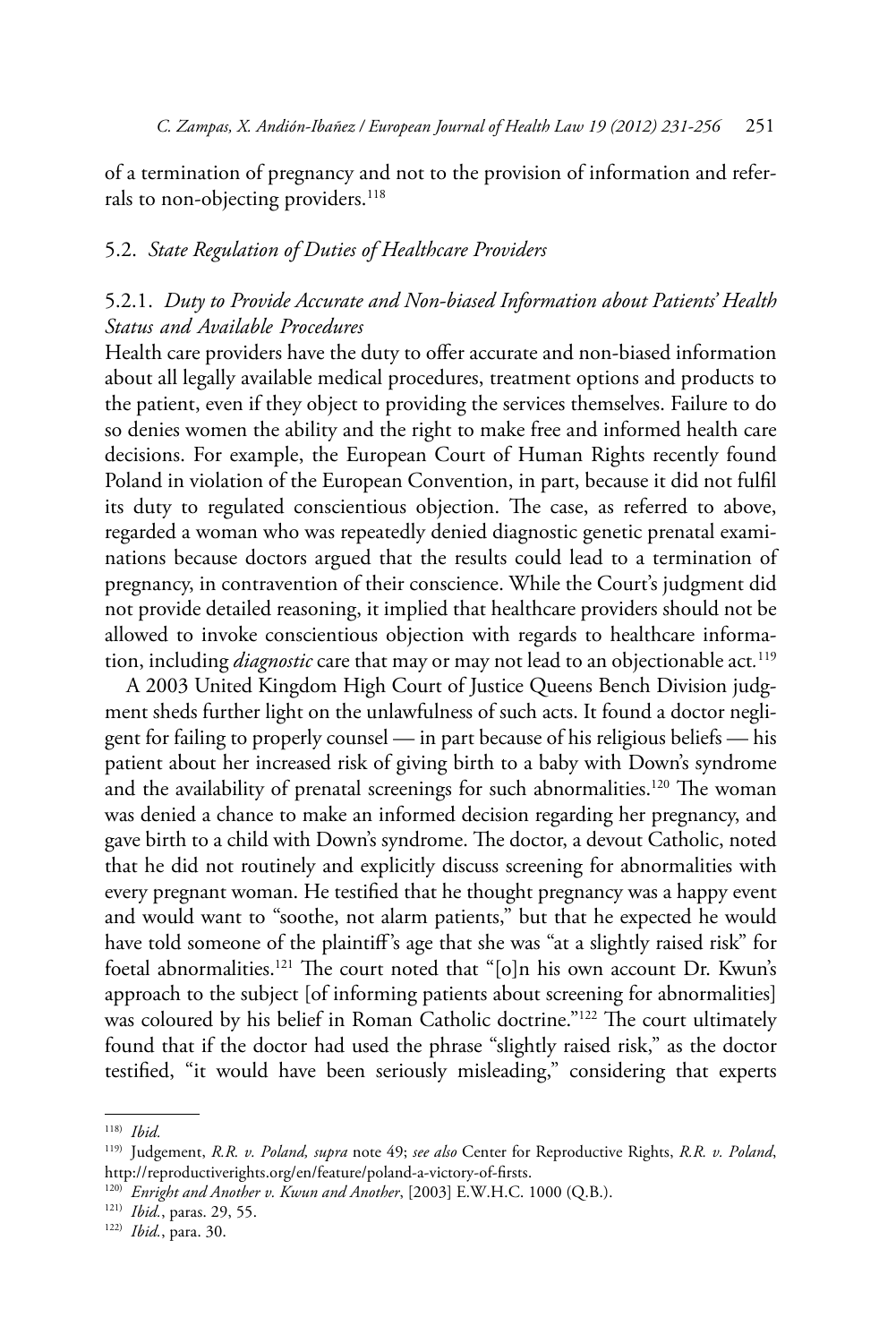of a termination of pregnancy and not to the provision of information and referrals to non-objecting providers.<sup>118</sup>

# 5.2. *State Regulation of Duties of Healthcare Providers*

# 5.2.1. *Duty to Provide Accurate and Non-biased Information about Patients' Health Status and Available Procedures*

Health care providers have the duty to offer accurate and non-biased information about all legally available medical procedures, treatment options and products to the patient, even if they object to providing the services themselves. Failure to do so denies women the ability and the right to make free and informed health care decisions. For example, the European Court of Human Rights recently found Poland in violation of the European Convention, in part, because it did not fulfil its duty to regulated conscientious objection. The case, as referred to above, regarded a woman who was repeatedly denied diagnostic genetic prenatal examinations because doctors argued that the results could lead to a termination of pregnancy, in contravention of their conscience. While the Court's judgment did not provide detailed reasoning, it implied that healthcare providers should not be allowed to invoke conscientious objection with regards to healthcare information, including *diagnostic* care that may or may not lead to an objectionable act*.* 119

A 2003 United Kingdom High Court of Justice Queens Bench Division judgment sheds further light on the unlawfulness of such acts. It found a doctor negligent for failing to properly counsel — in part because of his religious beliefs — his patient about her increased risk of giving birth to a baby with Down's syndrome and the availability of prenatal screenings for such abnormalities.<sup>120</sup> The woman was denied a chance to make an informed decision regarding her pregnancy, and gave birth to a child with Down's syndrome. The doctor, a devout Catholic, noted that he did not routinely and explicitly discuss screening for abnormalities with every pregnant woman. He testified that he thought pregnancy was a happy event and would want to "soothe, not alarm patients," but that he expected he would have told someone of the plaintiff's age that she was "at a slightly raised risk" for foetal abnormalities.<sup>121</sup> The court noted that "[o]n his own account Dr. Kwun's approach to the subject [of informing patients about screening for abnormalities] was coloured by his belief in Roman Catholic doctrine."122 The court ultimately found that if the doctor had used the phrase "slightly raised risk," as the doctor testified, "it would have been seriously misleading," considering that experts

<sup>118)</sup> *Ibid.*

<sup>119)</sup> Judgement, *R.R. v. Poland, supra* note 49; *see also* Center for Reproductive Rights, *R.R. v. Poland*, http://reproductiverights.org/en/feature/poland-a-victory-of-firsts.

<sup>120)</sup> *Enright and Another v. Kwun and Another*, [2003] E.W.H.C. 1000 (Q.B.).

<sup>121)</sup> *Ibid.*, paras. 29, 55.

<sup>122)</sup> *Ibid.*, para. 30.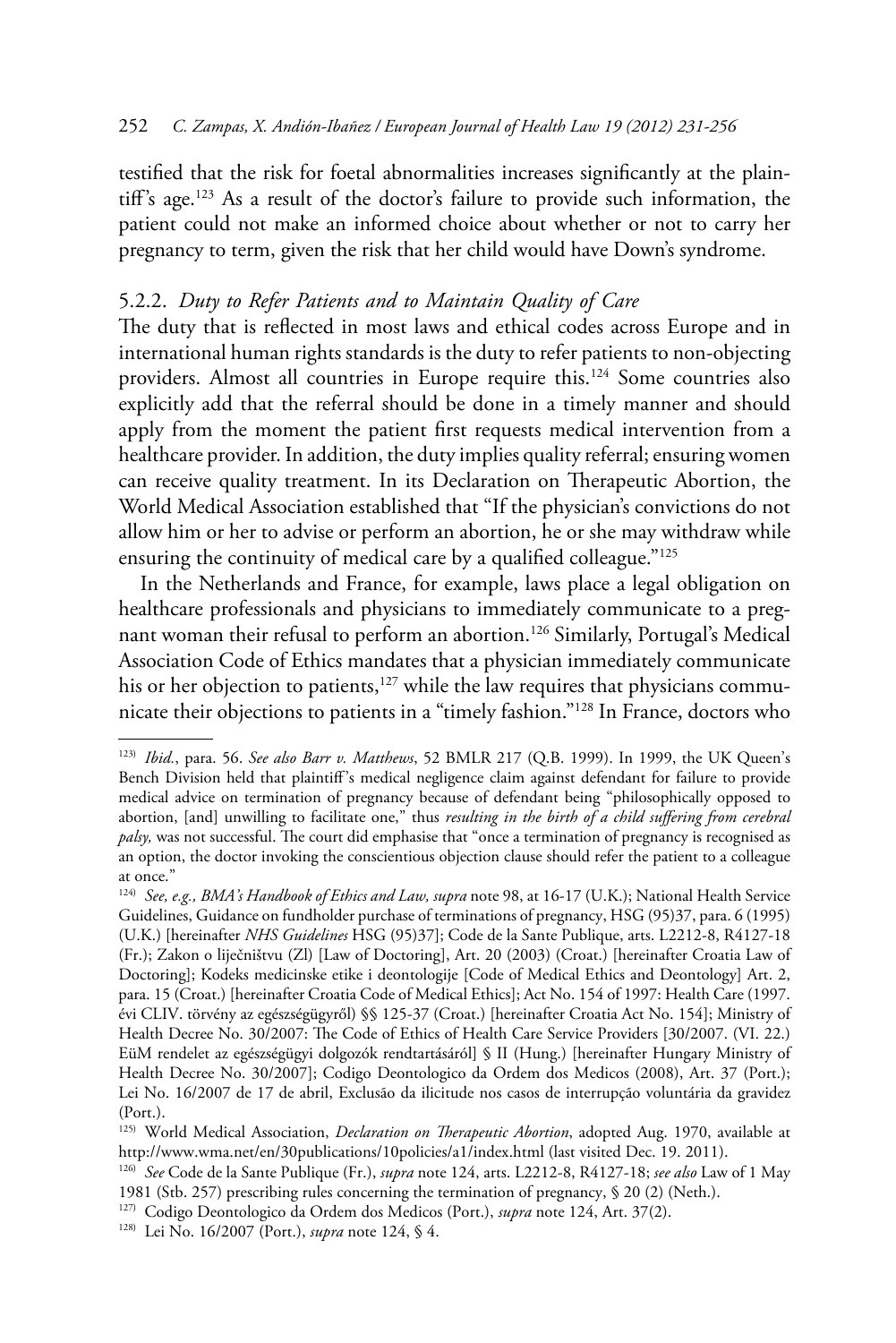testified that the risk for foetal abnormalities increases significantly at the plaintiff's age.<sup>123</sup> As a result of the doctor's failure to provide such information, the patient could not make an informed choice about whether or not to carry her pregnancy to term, given the risk that her child would have Down's syndrome.

# 5.2.2. *Duty to Refer Patients and to Maintain Quality of Care*

The duty that is reflected in most laws and ethical codes across Europe and in international human rights standards is the duty to refer patients to non- objecting providers. Almost all countries in Europe require this.124 Some countries also explicitly add that the referral should be done in a timely manner and should apply from the moment the patient first requests medical intervention from a healthcare provider. In addition, the duty implies quality referral; ensuring women can receive quality treatment. In its Declaration on Therapeutic Abortion, the World Medical Association established that "If the physician's convictions do not allow him or her to advise or perform an abortion, he or she may withdraw while ensuring the continuity of medical care by a qualified colleague."125

In the Netherlands and France, for example, laws place a legal obligation on healthcare professionals and physicians to immediately communicate to a pregnant woman their refusal to perform an abortion.126 Similarly, Portugal's Medical Association Code of Ethics mandates that a physician immediately communicate his or her objection to patients,<sup>127</sup> while the law requires that physicians communicate their objections to patients in a "timely fashion."128 In France, doctors who

<sup>123)</sup> *Ibid.*, para. 56. *See also Barr v. Matthews*, 52 BMLR 217 (Q.B. 1999). In 1999, the UK Queen's Bench Division held that plaintiff 's medical negligence claim against defendant for failure to provide medical advice on termination of pregnancy because of defendant being "philosophically opposed to abortion, [and] unwilling to facilitate one," thus *resulting in the birth of a child suffering from cerebral palsy*, was not successful. The court did emphasise that "once a termination of pregnancy is recognised as an option, the doctor invoking the conscientious objection clause should refer the patient to a colleague at once."

<sup>124)</sup> *See, e.g., BMA's Handbook of Ethics and Law, supra* note 98, at 16-17 (U.K.); National Health Service Guidelines, Guidance on fundholder purchase of terminations of pregnancy, HSG (95)37, para. 6 (1995) (U.K.) [hereinafter *NHS Guidelines* HSG (95)37]; Code de la Sante Publique, arts. L2212-8, R4127-18 (Fr.); Zakon o liječništvu (Zl) [Law of Doctoring], Art. 20 (2003) (Croat.) [hereinafter Croatia Law of Doctoring]; Kodeks medicinske etike i deontologije [Code of Medical Ethics and Deontology] Art. 2, para. 15 (Croat.) [hereinafter Croatia Code of Medical Ethics]; Act No. 154 of 1997: Health Care (1997. évi CLIV. törvény az egészségügyről) §§ 125-37 (Croat.) [hereinafter Croatia Act No. 154]; Ministry of Health Decree No. 30/2007: The Code of Ethics of Health Care Service Providers [30/2007. (VI. 22.) EüM rendelet az egészségügyi dolgozók rendtartásáról] § II (Hung.) [hereinafter Hungary Ministry of Health Decree No. 30/2007]; Codigo Deontologico da Ordem dos Medicos (2008), Art. 37 (Port.); Lei No. 16/2007 de 17 de abril, Exclusão da ilicitude nos casos de interrupção voluntária da gravidez (Port.).

<sup>125)</sup> World Medical Association, *Declaration on Therapeutic Abortion*, adopted Aug. 1970, available at http://www.wma.net/en/30publications/10policies/a1/index.html (last visited Dec. 19. 2011).

<sup>126)</sup> *See* Code de la Sante Publique (Fr.), *supra* note 124, arts. L2212-8, R4127-18; *see also* Law of 1 May 1981 (Stb. 257) prescribing rules concerning the termination of pregnancy, § 20 (2) (Neth.).

<sup>127)</sup> Codigo Deontologico da Ordem dos Medicos (Port.), *supra* note 124, Art. 37(2).

<sup>128)</sup> Lei No. 16/2007 (Port.), *supra* note 124, § 4.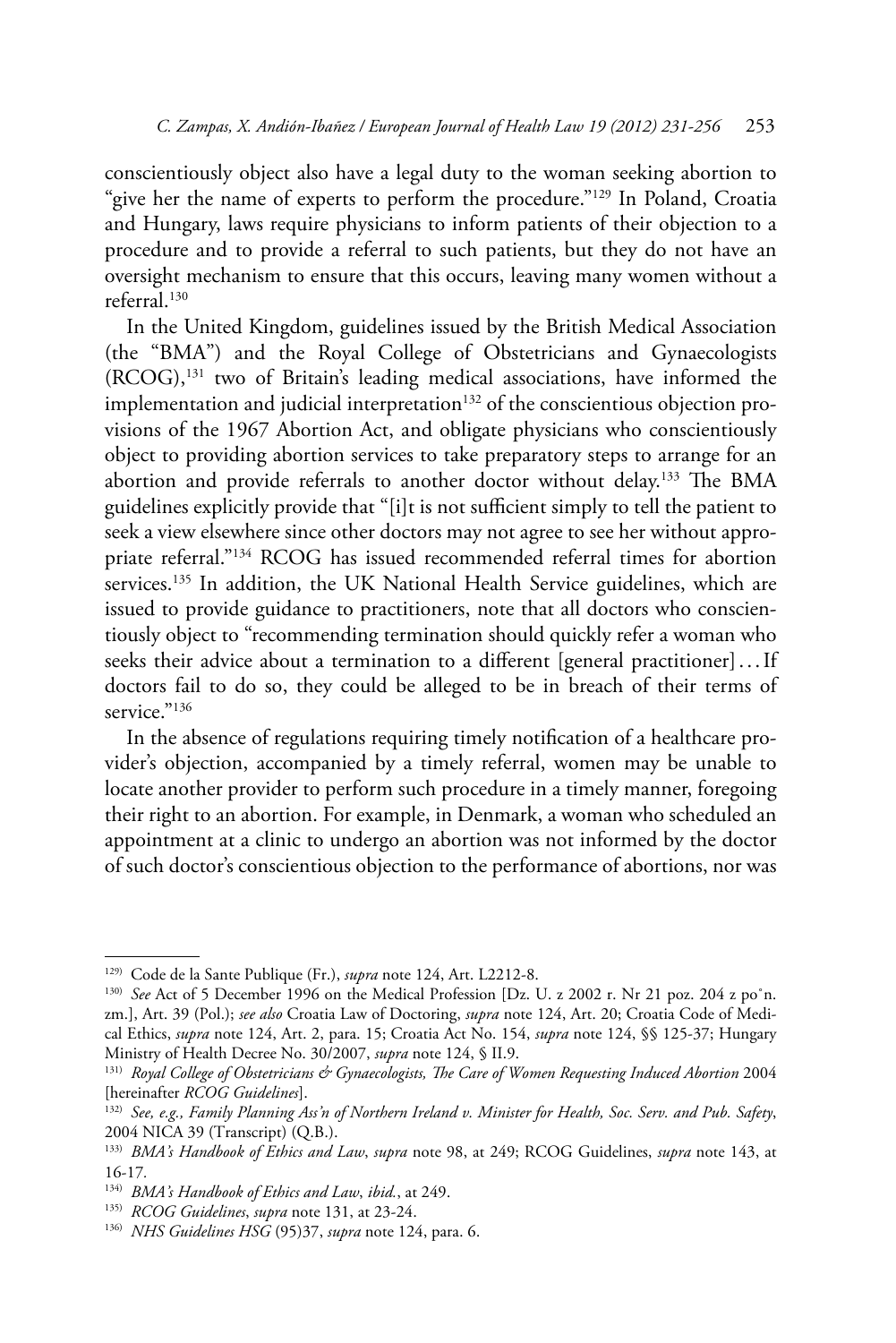conscientiously object also have a legal duty to the woman seeking abortion to "give her the name of experts to perform the procedure."<sup>129</sup> In Poland, Croatia and Hungary, laws require physicians to inform patients of their objection to a procedure and to provide a referral to such patients, but they do not have an oversight mechanism to ensure that this occurs, leaving many women without a  $referral<sup>130</sup>$ 

In the United Kingdom, guidelines issued by the British Medical Association (the "BMA") and the Royal College of Obstetricians and Gynaecologists (RCOG),131 two of Britain's leading medical associations, have informed the implementation and judicial interpretation $132$  of the conscientious objection provisions of the 1967 Abortion Act, and obligate physicians who conscientiously object to providing abortion services to take preparatory steps to arrange for an abortion and provide referrals to another doctor without delay.<sup>133</sup> The BMA guidelines explicitly provide that "[i]t is not sufficient simply to tell the patient to seek a view elsewhere since other doctors may not agree to see her without appropriate referral."134 RCOG has issued recommended referral times for abortion services.<sup>135</sup> In addition, the UK National Health Service guidelines, which are issued to provide guidance to practitioners, note that all doctors who conscientiously object to "recommending termination should quickly refer a woman who seeks their advice about a termination to a different [general practitioner] . . . If doctors fail to do so, they could be alleged to be in breach of their terms of service."<sup>136</sup>

In the absence of regulations requiring timely notification of a healthcare provider's objection, accompanied by a timely referral, women may be unable to locate another provider to perform such procedure in a timely manner, foregoing their right to an abortion. For example, in Denmark, a woman who scheduled an appointment at a clinic to undergo an abortion was not informed by the doctor of such doctor's conscientious objection to the performance of abortions, nor was

<sup>&</sup>lt;sup>129)</sup> Code de la Sante Publique (Fr.), *supra* note 124, Art. L2212-8.<br><sup>130)</sup> *See* Act of 5 December 1996 on the Medical Profession [Dz. U. z 2002 r. Nr 21 poz. 204 z po<sup>°</sup>n. zm.], Art. 39 (Pol.); *see also* Croatia Law of Doctoring, *supra* note 124, Art. 20; Croatia Code of Medical Ethics, *supra* note 124, Art. 2, para. 15; Croatia Act No. 154, *supra* note 124, §§ 125-37; Hungary Ministry of Health Decree No. 30/2007, *supra* note 124, § II.9.

<sup>131)</sup> *Royal College of Obstetricians & Gynaecologists, The Care of Women Requesting Induced Abortion* 2004 [hereinafter *RCOG Guidelines*].

<sup>132)</sup> *See, e.g., Family Planning Ass'n of Northern Ireland v. Minister for Health, Soc. Serv. and Pub. Safety*, 2004 NICA 39 (Transcript) (Q.B.).

<sup>133)</sup> *BMA's Handbook of Ethics and Law*, *supra* note 98, at 249; RCOG Guidelines, *supra* note 143, at 16-17*.*

<sup>134)</sup> *BMA's Handbook of Ethics and Law*, *ibid.*, at 249.

<sup>135)</sup> *RCOG Guidelines*, *supra* note 131, at 23-24.

<sup>136)</sup> *NHS Guidelines HSG* (95)37, *supra* note 124, para. 6.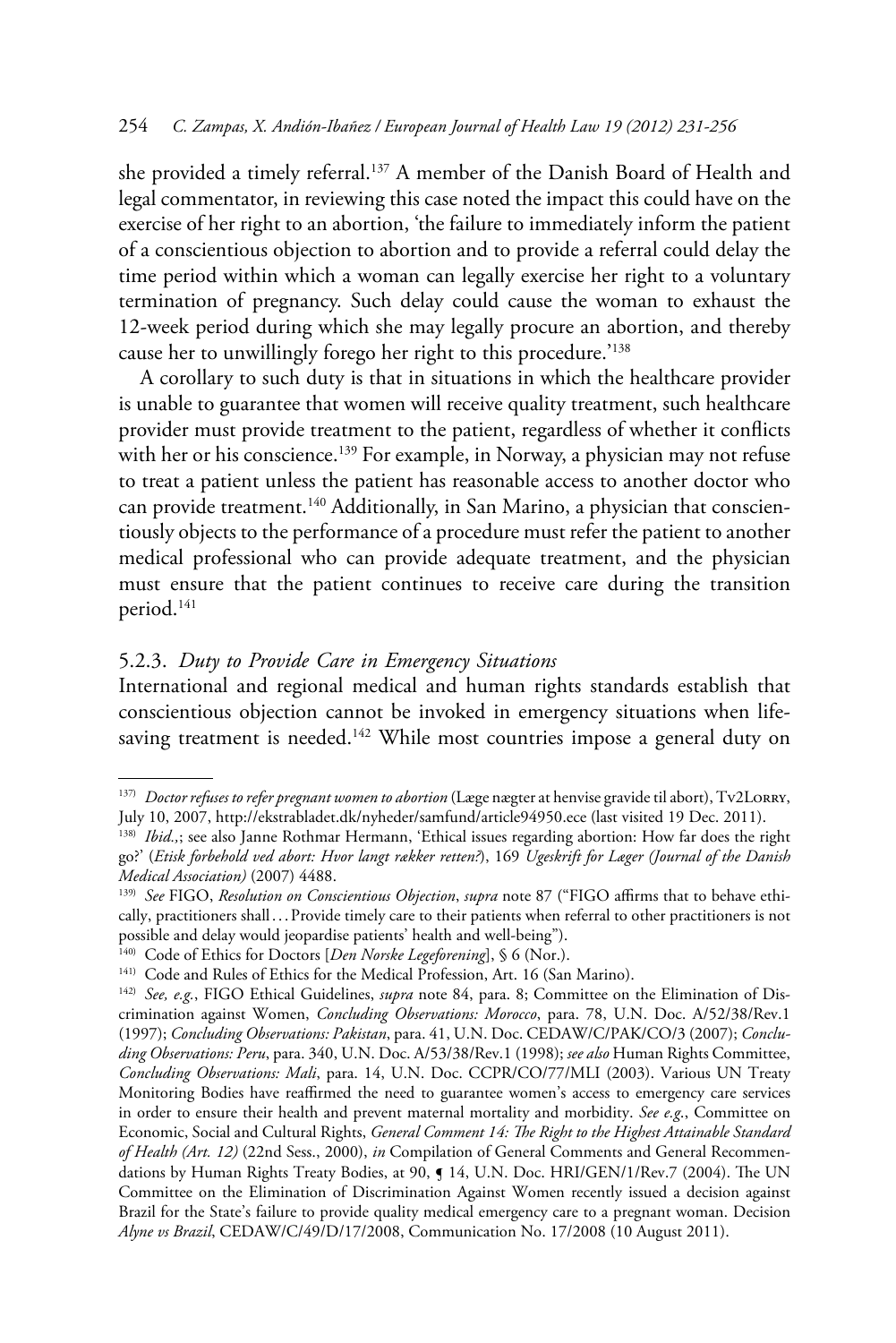she provided a timely referral.137 A member of the Danish Board of Health and legal commentator, in reviewing this case noted the impact this could have on the exercise of her right to an abortion, 'the failure to immediately inform the patient of a conscientious objection to abortion and to provide a referral could delay the time period within which a woman can legally exercise her right to a voluntary termination of pregnancy. Such delay could cause the woman to exhaust the 12-week period during which she may legally procure an abortion, and thereby cause her to unwillingly forego her right to this procedure.'138

A corollary to such duty is that in situations in which the healthcare provider is unable to guarantee that women will receive quality treatment, such healthcare provider must provide treatment to the patient, regardless of whether it conflicts with her or his conscience.<sup>139</sup> For example, in Norway, a physician may not refuse to treat a patient unless the patient has reasonable access to another doctor who can provide treatment.<sup>140</sup> Additionally, in San Marino, a physician that conscientiously objects to the performance of a procedure must refer the patient to another medical professional who can provide adequate treatment, and the physician must ensure that the patient continues to receive care during the transition period.141

## 5.2.3. *Duty to Provide Care in Emergency Situations*

International and regional medical and human rights standards establish that conscientious objection cannot be invoked in emergency situations when lifesaving treatment is needed.<sup>142</sup> While most countries impose a general duty on

<sup>&</sup>lt;sup>137)</sup> *Doctor refuses to refer pregnant women to abortion* (Læge nægter at henvise gravide til abort), Tv2LORRY, July 10, 2007, http://ekstrabladet.dk/nyheder/samfund/article94950.ece (last visited 19 Dec. 2011).

<sup>&</sup>lt;sup>138)</sup> *Ibid.*,; see also Janne Rothmar Hermann, 'Ethical issues regarding abortion: How far does the right go?' (*Etisk forbehold ved abort: Hvor langt rækker retten?*), 169 *Ugeskrift for Læger (Journal of the Danish Medical Association)* (2007) 4488.

<sup>139)</sup> *See* FIGO, *Resolution on Conscientious Objection*, *supra* note 87 ("FIGO affirms that to behave ethically, practitioners shall . . . Provide timely care to their patients when referral to other practitioners is not possible and delay would jeopardise patients' health and well-being").<br><sup>140)</sup> Code of Ethics for Doctors [*Den Norske Legeforening*], § 6 (Nor.).

<sup>&</sup>lt;sup>141)</sup> Code and Rules of Ethics for the Medical Profession, Art. 16 (San Marino).

<sup>142)</sup> *See, e.g.*, FIGO Ethical Guidelines, *supra* note 84, para. 8; Committee on the Elimination of Discrimination against Women, *Concluding Observations: Morocco*, para. 78, U.N. Doc. A/52/38/Rev.1 (1997); *Concluding Observations: Pakistan*, para. 41, U.N. Doc. CEDAW/C/PAK/CO/3 (2007); *Concluding Observations: Peru*, para. 340, U.N. Doc. A/53/38/Rev.1 (1998); *see also* Human Rights Committee, *Concluding Observations: Mali*, para. 14, U.N. Doc. CCPR/CO/77/MLI (2003). Various UN Treaty Monitoring Bodies have reaffirmed the need to guarantee women's access to emergency care services in order to ensure their health and prevent maternal mortality and morbidity. *See e.g*., Committee on Economic, Social and Cultural Rights, *General Comment 14: The Right to the Highest Attainable Standard of Health (Art. 12)* (22nd Sess., 2000), *in* Compilation of General Comments and General Recommendations by Human Rights Treaty Bodies, at 90, ¶ 14, U.N. Doc. HRI/GEN/1/Rev.7 (2004). The UN Committee on the Elimination of Discrimination Against Women recently issued a decision against Brazil for the State's failure to provide quality medical emergency care to a pregnant woman. Decision *Alyne vs Brazil*, CEDAW/C/49/D/17/2008, Communication No. 17/2008 (10 August 2011).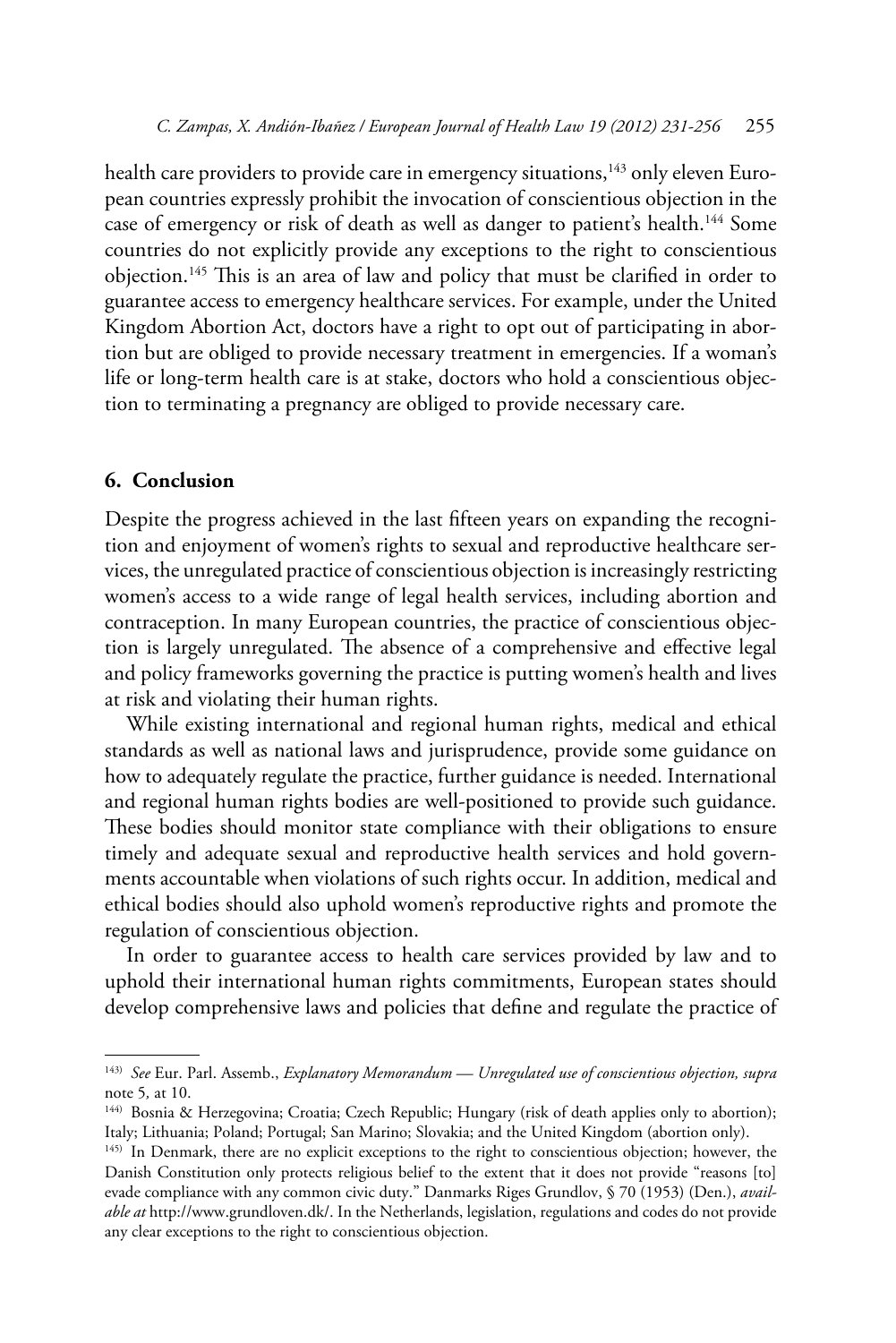health care providers to provide care in emergency situations,<sup>143</sup> only eleven European countries expressly prohibit the invocation of conscientious objection in the case of emergency or risk of death as well as danger to patient's health.<sup>144</sup> Some countries do not explicitly provide any exceptions to the right to conscientious objection.145 This is an area of law and policy that must be clarified in order to guarantee access to emergency healthcare services. For example, under the United Kingdom Abortion Act, doctors have a right to opt out of participating in abortion but are obliged to provide necessary treatment in emergencies. If a woman's life or long-term health care is at stake, doctors who hold a conscientious objection to terminating a pregnancy are obliged to provide necessary care.

### **6. Conclusion**

Despite the progress achieved in the last fifteen years on expanding the recognition and enjoyment of women's rights to sexual and reproductive healthcare services, the unregulated practice of conscientious objection is increasingly restricting women's access to a wide range of legal health services, including abortion and contraception. In many European countries, the practice of conscientious objection is largely unregulated. The absence of a comprehensive and effective legal and policy frameworks governing the practice is putting women's health and lives at risk and violating their human rights.

While existing international and regional human rights, medical and ethical standards as well as national laws and jurisprudence, provide some guidance on how to adequately regulate the practice, further guidance is needed. International and regional human rights bodies are well-positioned to provide such guidance. These bodies should monitor state compliance with their obligations to ensure timely and adequate sexual and reproductive health services and hold governments accountable when violations of such rights occur. In addition, medical and ethical bodies should also uphold women's reproductive rights and promote the regulation of conscientious objection.

In order to guarantee access to health care services provided by law and to uphold their international human rights commitments, European states should develop comprehensive laws and policies that define and regulate the practice of

<sup>143)</sup> *See* Eur. Parl. Assemb., *Explanatory Memorandum — Unregulated use of conscientious objection, supra*  note 5*,* at 10.

<sup>144)</sup> Bosnia & Herzegovina; Croatia; Czech Republic; Hungary (risk of death applies only to abortion); Italy; Lithuania; Poland; Portugal; San Marino; Slovakia; and the United Kingdom (abortion only).

<sup>145)</sup> In Denmark, there are no explicit exceptions to the right to conscientious objection; however, the Danish Constitution only protects religious belief to the extent that it does not provide "reasons [to] evade compliance with any common civic duty." Danmarks Riges Grundlov, § 70 (1953) (Den.), *available at* http://www.grundloven.dk/. In the Netherlands, legislation, regulations and codes do not provide any clear exceptions to the right to conscientious objection.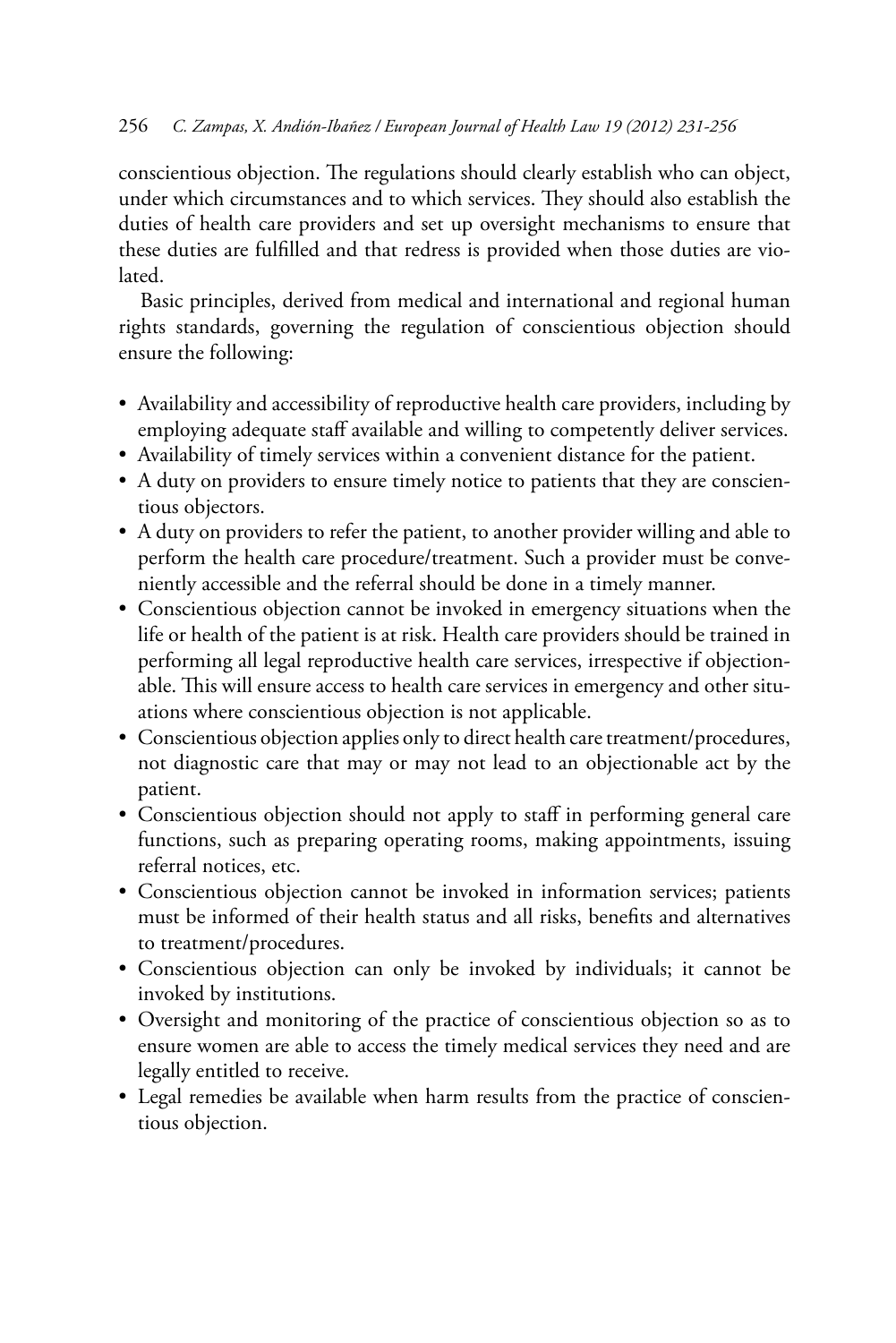# 256 *C. Zampas, X. Andión-Ibañez / European Journal of Health Law 19 (2012) 231-256*

conscientious objection. The regulations should clearly establish who can object, under which circumstances and to which services. They should also establish the duties of health care providers and set up oversight mechanisms to ensure that these duties are fulfilled and that redress is provided when those duties are violated.

Basic principles, derived from medical and international and regional human rights standards, governing the regulation of conscientious objection should ensure the following:

- Availability and accessibility of reproductive health care providers, including by employing adequate staff available and willing to competently deliver services.
- Availability of timely services within a convenient distance for the patient.
- A duty on providers to ensure timely notice to patients that they are conscientious objectors.
- A duty on providers to refer the patient, to another provider willing and able to perform the health care procedure/treatment. Such a provider must be conveniently accessible and the referral should be done in a timely manner.
- Conscientious objection cannot be invoked in emergency situations when the life or health of the patient is at risk. Health care providers should be trained in performing all legal reproductive health care services, irrespective if objectionable. This will ensure access to health care services in emergency and other situations where conscientious objection is not applicable.
- Conscientious objection applies only to direct health care treatment/ procedures, not diagnostic care that may or may not lead to an objectionable act by the patient.
- Conscientious objection should not apply to staff in performing general care functions, such as preparing operating rooms, making appointments, issuing referral notices, etc.
- Conscientious objection cannot be invoked in information services; patients must be informed of their health status and all risks, benefits and alternatives to treatment/procedures.
- Conscientious objection can only be invoked by individuals; it cannot be invoked by institutions.
- Oversight and monitoring of the practice of conscientious objection so as to ensure women are able to access the timely medical services they need and are legally entitled to receive.
- Legal remedies be available when harm results from the practice of conscientious objection.